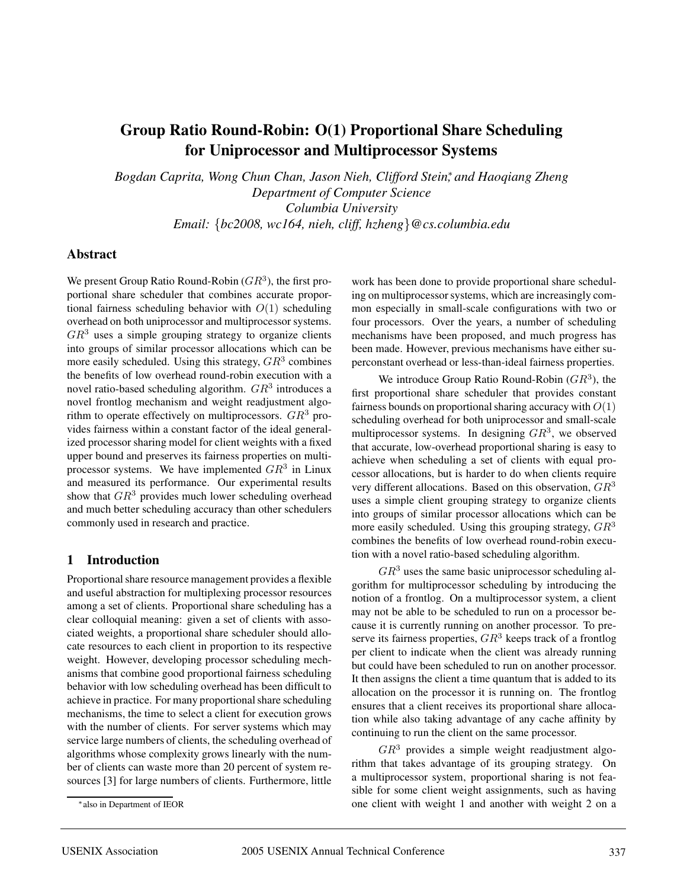# **Group Ratio Round-Robin: O(1) Proportional Share Scheduling for Uniprocessor and Multiprocessor Systems**

*Bogdan Caprita, Wong Chun Chan, Jason Nieh, Clifford Stein*\*, and Haoqiang Zheng *Department of Computer Science Columbia University Email:* {*bc2008, wc164, nieh, cliff, hzheng*}*@cs.columbia.edu*

### **Abstract**

We present Group Ratio Round-Robin  $(GR<sup>3</sup>)$ , the first proportional share scheduler that combines accurate proportional fairness scheduling behavior with  $O(1)$  scheduling overhead on both uniprocessor and multiprocessor systems.  $GR<sup>3</sup>$  uses a simple grouping strategy to organize clients into groups of similar processor allocations which can be more easily scheduled. Using this strategy,  $GR<sup>3</sup>$  combines the benefits of low overhead round-robin execution with a novel ratio-based scheduling algorithm.  $GR<sup>3</sup>$  introduces a novel frontlog mechanism and weight readjustment algorithm to operate effectively on multiprocessors.  $GR^3$  provides fairness within a constant factor of the ideal generalized processor sharing model for client weights with a fixed upper bound and preserves its fairness properties on multiprocessor systems. We have implemented  $GR^3$  in Linux and measured its performance. Our experimental results show that  $GR^3$  provides much lower scheduling overhead and much better scheduling accuracy than other schedulers commonly used in research and practice.

#### **1 Introduction**

Proportional share resource management provides a flexible and useful abstraction for multiplexing processor resources among a set of clients. Proportional share scheduling has a clear colloquial meaning: given a set of clients with associated weights, a proportional share scheduler should allocate resources to each client in proportion to its respective weight. However, developing processor scheduling mechanisms that combine good proportional fairness scheduling behavior with low scheduling overhead has been difficult to achieve in practice. For many proportional share scheduling mechanisms, the time to select a client for execution grows with the number of clients. For server systems which may service large numbers of clients, the scheduling overhead of algorithms whose complexity grows linearly with the number of clients can waste more than 20 percent of system resources [3] for large numbers of clients. Furthermore, little

work has been done to provide proportional share scheduling on multiprocessor systems, which are increasingly common especially in small-scale configurations with two or four processors. Over the years, a number of scheduling mechanisms have been proposed, and much progress has been made. However, previous mechanisms have either superconstant overhead or less-than-ideal fairness properties.

We introduce Group Ratio Round-Robin  $(GR<sup>3</sup>)$ , the first proportional share scheduler that provides constant fairness bounds on proportional sharing accuracy with  $O(1)$ scheduling overhead for both uniprocessor and small-scale multiprocessor systems. In designing  $GR<sup>3</sup>$ , we observed that accurate, low-overhead proportional sharing is easy to achieve when scheduling a set of clients with equal processor allocations, but is harder to do when clients require very different allocations. Based on this observation,  $GR<sup>3</sup>$ uses a simple client grouping strategy to organize clients into groups of similar processor allocations which can be more easily scheduled. Using this grouping strategy,  $GR^3$ combines the benefits of low overhead round-robin execution with a novel ratio-based scheduling algorithm.

 $GR<sup>3</sup>$  uses the same basic uniprocessor scheduling algorithm for multiprocessor scheduling by introducing the notion of a frontlog. On a multiprocessor system, a client may not be able to be scheduled to run on a processor because it is currently running on another processor. To preserve its fairness properties,  $GR<sup>3</sup>$  keeps track of a frontlog per client to indicate when the client was already running but could have been scheduled to run on another processor. It then assigns the client a time quantum that is added to its allocation on the processor it is running on. The frontlog ensures that a client receives its proportional share allocation while also taking advantage of any cache affinity by continuing to run the client on the same processor.

 $GR<sup>3</sup>$  provides a simple weight readjustment algorithm that takes advantage of its grouping strategy. On a multiprocessor system, proportional sharing is not feasible for some client weight assignments, such as having one client with weight 1 and another with weight 2 on a

<sup>∗</sup>also in Department of IEOR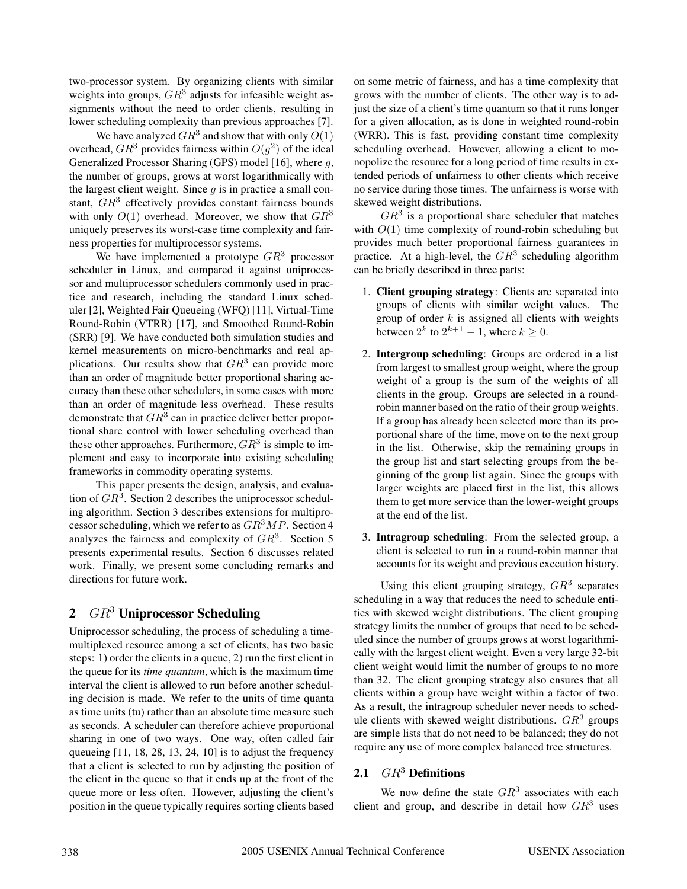two-processor system. By organizing clients with similar weights into groups,  $GR^3$  adjusts for infeasible weight assignments without the need to order clients, resulting in lower scheduling complexity than previous approaches [7].

We have analyzed  $GR^3$  and show that with only  $O(1)$ overhead,  $GR^3$  provides fairness within  $O(q^2)$  of the ideal Generalized Processor Sharing (GPS) model [16], where q, the number of groups, grows at worst logarithmically with the largest client weight. Since  $q$  is in practice a small constant,  $GR<sup>3</sup>$  effectively provides constant fairness bounds with only  $O(1)$  overhead. Moreover, we show that  $GR<sup>3</sup>$ uniquely preserves its worst-case time complexity and fairness properties for multiprocessor systems.

We have implemented a prototype  $GR^3$  processor scheduler in Linux, and compared it against uniprocessor and multiprocessor schedulers commonly used in practice and research, including the standard Linux scheduler [2], Weighted Fair Queueing (WFQ) [11], Virtual-Time Round-Robin (VTRR) [17], and Smoothed Round-Robin (SRR) [9]. We have conducted both simulation studies and kernel measurements on micro-benchmarks and real applications. Our results show that  $GR^3$  can provide more than an order of magnitude better proportional sharing accuracy than these other schedulers, in some cases with more than an order of magnitude less overhead. These results demonstrate that  $GR^3$  can in practice deliver better proportional share control with lower scheduling overhead than these other approaches. Furthermore,  $GR^3$  is simple to implement and easy to incorporate into existing scheduling frameworks in commodity operating systems.

This paper presents the design, analysis, and evaluation of  $GR<sup>3</sup>$ . Section 2 describes the uniprocessor scheduling algorithm. Section 3 describes extensions for multiprocessor scheduling, which we refer to as  $GR<sup>3</sup>MP$ . Section 4 analyzes the fairness and complexity of  $GR<sup>3</sup>$ . Section 5 presents experimental results. Section 6 discusses related work. Finally, we present some concluding remarks and directions for future work.

## **2** GR<sup>3</sup> **Uniprocessor Scheduling**

Uniprocessor scheduling, the process of scheduling a timemultiplexed resource among a set of clients, has two basic steps: 1) order the clients in a queue, 2) run the first client in the queue for its *time quantum*, which is the maximum time interval the client is allowed to run before another scheduling decision is made. We refer to the units of time quanta as time units (tu) rather than an absolute time measure such as seconds. A scheduler can therefore achieve proportional sharing in one of two ways. One way, often called fair queueing [11, 18, 28, 13, 24, 10] is to adjust the frequency that a client is selected to run by adjusting the position of the client in the queue so that it ends up at the front of the queue more or less often. However, adjusting the client's position in the queue typically requires sorting clients based

on some metric of fairness, and has a time complexity that grows with the number of clients. The other way is to adjust the size of a client's time quantum so that it runs longer for a given allocation, as is done in weighted round-robin (WRR). This is fast, providing constant time complexity scheduling overhead. However, allowing a client to monopolize the resource for a long period of time results in extended periods of unfairness to other clients which receive no service during those times. The unfairness is worse with skewed weight distributions.

 $GR<sup>3</sup>$  is a proportional share scheduler that matches with  $O(1)$  time complexity of round-robin scheduling but provides much better proportional fairness guarantees in practice. At a high-level, the  $GR<sup>3</sup>$  scheduling algorithm can be briefly described in three parts:

- 1. **Client grouping strategy**: Clients are separated into groups of clients with similar weight values. The group of order  $k$  is assigned all clients with weights between  $2^k$  to  $2^{k+1} - 1$ , where  $k \ge 0$ .
- 2. **Intergroup scheduling**: Groups are ordered in a list from largest to smallest group weight, where the group weight of a group is the sum of the weights of all clients in the group. Groups are selected in a roundrobin manner based on the ratio of their group weights. If a group has already been selected more than its proportional share of the time, move on to the next group in the list. Otherwise, skip the remaining groups in the group list and start selecting groups from the beginning of the group list again. Since the groups with larger weights are placed first in the list, this allows them to get more service than the lower-weight groups at the end of the list.
- 3. **Intragroup scheduling**: From the selected group, a client is selected to run in a round-robin manner that accounts for its weight and previous execution history.

Using this client grouping strategy,  $GR<sup>3</sup>$  separates scheduling in a way that reduces the need to schedule entities with skewed weight distributions. The client grouping strategy limits the number of groups that need to be scheduled since the number of groups grows at worst logarithmically with the largest client weight. Even a very large 32-bit client weight would limit the number of groups to no more than 32. The client grouping strategy also ensures that all clients within a group have weight within a factor of two. As a result, the intragroup scheduler never needs to schedule clients with skewed weight distributions.  $GR^3$  groups are simple lists that do not need to be balanced; they do not require any use of more complex balanced tree structures.

## **2.1** GR<sup>3</sup> **Definitions**

We now define the state  $GR<sup>3</sup>$  associates with each client and group, and describe in detail how  $GR<sup>3</sup>$  uses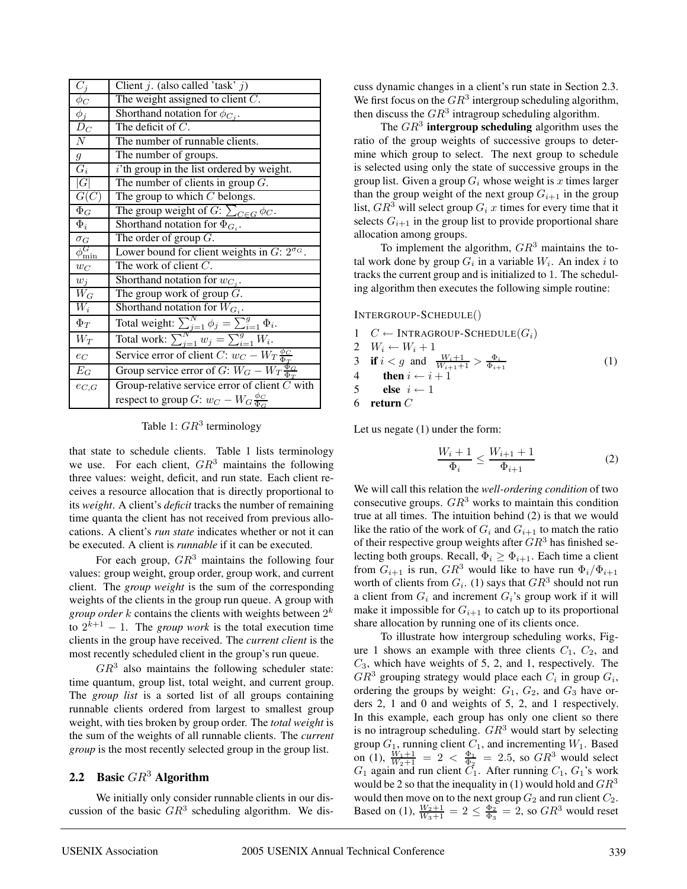| $\overline{C_j}$                 | Client j. (also called 'task' j)                                                                                                                                 |
|----------------------------------|------------------------------------------------------------------------------------------------------------------------------------------------------------------|
| $\phi_C$                         | The weight assigned to client $C$ .                                                                                                                              |
| $\frac{\phi_j}{D_C}$             | Shorthand notation for $\phi_{C_i}$ .                                                                                                                            |
|                                  | The deficit of $C$ .                                                                                                                                             |
| $\overline{N}$                   | The number of runnable clients.                                                                                                                                  |
| $\overline{g}$                   | The number of groups.                                                                                                                                            |
| $G_i$                            | i'th group in the list ordered by weight.                                                                                                                        |
| $ \overline{G} $                 | The number of clients in group $G$ .                                                                                                                             |
| G(C)                             | The group to which $C$ belongs.                                                                                                                                  |
| $\Phi_G$                         | The group weight of $G: \sum_{C \in G} \phi_C$ .                                                                                                                 |
| $\Phi_i$                         | Shorthand notation for $\Phi_{G_i}$ .                                                                                                                            |
|                                  | The order of group $G$ .                                                                                                                                         |
| $\frac{\sigma_G}{\phi_{\min}^G}$ | Lower bound for client weights in $G: 2^{\sigma_G}$ .                                                                                                            |
| $w_C$                            | The work of client $C$ .                                                                                                                                         |
| $w_j$                            | Shorthand notation for $w_{C_i}$ .                                                                                                                               |
| $W_G$                            | The group work of group $G$ .                                                                                                                                    |
| $W_i$                            |                                                                                                                                                                  |
| $\Phi_T$                         | Shorthand notation for $W_{G_i}$ .<br>Total weight: $\sum_{j=1}^{N} \phi_j = \sum_{i=1}^{g} \Phi_i$ .<br>Total work: $\sum_{j=1}^{N} w_j = \sum_{i=1}^{g} W_i$ . |
| $W_T$                            |                                                                                                                                                                  |
| $e_C$                            | Service error of client C: $w_C - \overline{W}_T \frac{\phi_C}{\Phi_T}$                                                                                          |
| $E_G$                            | Group service error of G: $W_G - W_T \frac{\Phi_G}{\Phi_T}$                                                                                                      |
| $e_{C,G}$                        | Group-relative service error of client $C$ with                                                                                                                  |
|                                  | respect to group G: $w_C - W_G \frac{\phi_C}{\Phi_C}$                                                                                                            |

Table 1:  $GR^3$  terminology

that state to schedule clients. Table 1 lists terminology we use. For each client,  $GR^3$  maintains the following three values: weight, deficit, and run state. Each client receives a resource allocation that is directly proportional to its *weight*. A client's *deficit* tracks the number of remaining time quanta the client has not received from previous allocations. A client's *run state* indicates whether or not it can be executed. A client is *runnable* if it can be executed.

For each group,  $GR^3$  maintains the following four values: group weight, group order, group work, and current client. The *group weight* is the sum of the corresponding weights of the clients in the group run queue. A group with *group order* k contains the clients with weights between  $2^k$ to  $2^{k+1} - 1$ . The *group work* is the total execution time clients in the group have received. The *current client* is the most recently scheduled client in the group's run queue.

 $GR<sup>3</sup>$  also maintains the following scheduler state: time quantum, group list, total weight, and current group. The *group list* is a sorted list of all groups containing runnable clients ordered from largest to smallest group weight, with ties broken by group order. The *total weight* is the sum of the weights of all runnable clients. The *current group* is the most recently selected group in the group list.

### **2.2 Basic** GR<sup>3</sup> **Algorithm**

We initially only consider runnable clients in our discussion of the basic  $GR^3$  scheduling algorithm. We dis-

cuss dynamic changes in a client's run state in Section 2.3. We first focus on the  $GR^3$  intergroup scheduling algorithm, then discuss the  $GR^3$  intragroup scheduling algorithm.

The  $GR<sup>3</sup>$  **intergroup scheduling** algorithm uses the ratio of the group weights of successive groups to determine which group to select. The next group to schedule is selected using only the state of successive groups in the group list. Given a group  $G_i$  whose weight is x times larger than the group weight of the next group  $G_{i+1}$  in the group list,  $GR^3$  will select group  $G_i$  x times for every time that it selects  $G_{i+1}$  in the group list to provide proportional share allocation among groups.

To implement the algorithm,  $GR^3$  maintains the total work done by group  $G_i$  in a variable  $W_i$ . An index i to tracks the current group and is initialized to 1. The scheduling algorithm then executes the following simple routine:

INTERGROUP-SCHEDULE()

 $C \leftarrow$  INTRAGROUP-SCHEDULE $(G_i)$  $W_i \leftarrow W_i + 1$ **if**  $i < g$  and  $\frac{W_i+1}{W_{i+1}+1} > \frac{\Phi_i}{\Phi_{i+1}}$  (1) **then**  $i \leftarrow i + 1$ **else**  $i \leftarrow 1$ 6 **return** C

Let us negate (1) under the form:

$$
\frac{W_i + 1}{\Phi_i} \le \frac{W_{i+1} + 1}{\Phi_{i+1}}
$$
 (2)

We will call this relation the *well-ordering condition* of two consecutive groups.  $GR^3$  works to maintain this condition true at all times. The intuition behind (2) is that we would like the ratio of the work of  $G_i$  and  $G_{i+1}$  to match the ratio of their respective group weights after  $GR^3$  has finished selecting both groups. Recall,  $\Phi_i \geq \Phi_{i+1}$ . Each time a client from  $G_{i+1}$  is run,  $GR^3$  would like to have run  $\Phi_i/\Phi_{i+1}$ worth of clients from  $G_i$ . (1) says that  $GR^3$  should not run a client from  $G_i$  and increment  $G_i$ 's group work if it will make it impossible for  $G_{i+1}$  to catch up to its proportional share allocation by running one of its clients once.

To illustrate how intergroup scheduling works, Figure 1 shows an example with three clients  $C_1$ ,  $C_2$ , and  $C_3$ , which have weights of 5, 2, and 1, respectively. The  $GR^3$  grouping strategy would place each  $C_i$  in group  $G_i$ , ordering the groups by weight:  $G_1$ ,  $G_2$ , and  $G_3$  have orders 2, 1 and 0 and weights of 5, 2, and 1 respectively. In this example, each group has only one client so there is no intragroup scheduling.  $GR^3$  would start by selecting group  $G_1$ , running client  $C_1$ , and incrementing  $W_1$ . Based on (1),  $\frac{W_1+1}{W_2+1} = 2 < \frac{\Phi_1}{\Phi_2} = 2.5$ , so  $GR^3$  would select  $G_1$  again and run client  $C_1$ . After running  $C_1$ ,  $G_1$ 's work would be 2 so that the inequality in (1) would hold and  $GR<sup>3</sup>$ would then move on to the next group  $G_2$  and run client  $C_2$ . Based on (1),  $\frac{W_2+1}{W_3+1} = 2 \le \frac{\Phi_2}{\Phi_3} = 2$ , so  $GR^3$  would reset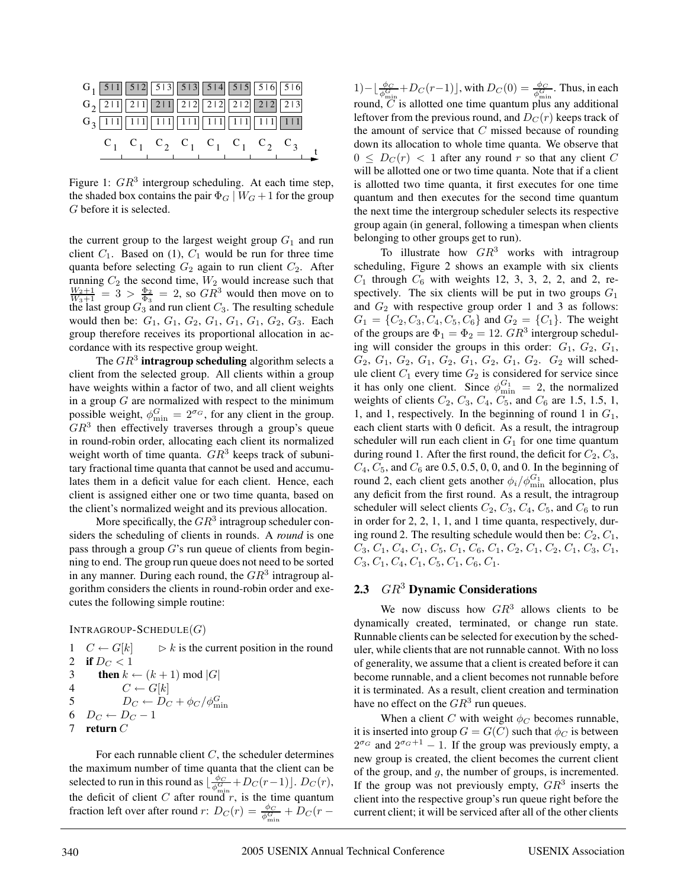| $G_1$ 511 512 513 513 514 515 516 516           |  |
|-------------------------------------------------|--|
| $G_{2}$ 211 211 211 212 212 212 212 213         |  |
| $G_3$ 111 11 11 11 11 11 11 11 11 11 11 11      |  |
| $C_1$ $C_1$ $C_2$ $C_1$ $C_1$ $C_1$ $C_2$ $C_3$ |  |

Figure 1:  $GR^3$  intergroup scheduling. At each time step, the shaded box contains the pair  $\Phi_G | W_G + 1$  for the group G before it is selected.

the current group to the largest weight group  $G_1$  and run client  $C_1$ . Based on (1),  $C_1$  would be run for three time quanta before selecting  $G_2$  again to run client  $C_2$ . After running  $C_2$  the second time,  $W_2$  would increase such that  $\frac{W_2+1}{W_3+1}$  = 3 >  $\frac{\Phi_2}{\Phi_3}$  = 2, so  $GR^3$  would then move on to the last group  $G_3$  and run client  $C_3$ . The resulting schedule would then be:  $G_1, G_1, G_2, G_1, G_1, G_1, G_2, G_3$ . Each group therefore receives its proportional allocation in accordance with its respective group weight.

The  $GR<sup>3</sup>$  **intragroup scheduling** algorithm selects a client from the selected group. All clients within a group have weights within a factor of two, and all client weights in a group  $G$  are normalized with respect to the minimum possible weight,  $\phi_{\min}^G = 2^{\sigma_G}$ , for any client in the group.  $GR<sup>3</sup>$  then effectively traverses through a group's queue in round-robin order, allocating each client its normalized weight worth of time quanta.  $GR^3$  keeps track of subunitary fractional time quanta that cannot be used and accumulates them in a deficit value for each client. Hence, each client is assigned either one or two time quanta, based on the client's normalized weight and its previous allocation.

More specifically, the  $GR^3$  intragroup scheduler considers the scheduling of clients in rounds. A *round* is one pass through a group  $G$ 's run queue of clients from beginning to end. The group run queue does not need to be sorted in any manner. During each round, the  $GR^3$  intragroup algorithm considers the clients in round-robin order and executes the following simple routine:

 $INTRAGROUP-SCHEDULE(G)$ 

 $1 \quad C \leftarrow G[k] \qquad \Rightarrow k$  is the current position in the round **if**  $D_C < 1$ **then**  $k \leftarrow (k+1) \mod |G|$  $C \leftarrow G[k]$  $D_C \leftarrow D_C + \phi_C / \phi_{\min}^G$ <br>6  $D_C \leftarrow D_C - 1$ 7 **return** C

For each runnable client  $C$ , the scheduler determines the maximum number of time quanta that the client can be selected to run in this round as  $\left[\frac{\phi_C}{\phi_{\min}^G} + D_C(r-1)\right]$ .  $D_C(r)$ , the deficit of client  $C$  after round  $r$ , is the time quantum fraction left over after round  $r: D_C(r) = \frac{\phi_C}{\phi_{\min}^G} + D_C(r -$ 

 $(1) - \left\lfloor \frac{\phi_C}{\phi_{\min}^G} + D_C(r-1) \right\rfloor$ , with  $D_C(0) = \frac{\phi_C}{\phi_{\min}^G}$ . Thus, in each round,  $\dddot{C}$  is allotted one time quantum plus any additional leftover from the previous round, and  $D_C(r)$  keeps track of the amount of service that  $C$  missed because of rounding down its allocation to whole time quanta. We observe that  $0 \leq D_C(r) < 1$  after any round r so that any client C will be allotted one or two time quanta. Note that if a client is allotted two time quanta, it first executes for one time quantum and then executes for the second time quantum the next time the intergroup scheduler selects its respective group again (in general, following a timespan when clients belonging to other groups get to run).

To illustrate how  $GR^3$  works with intragroup scheduling, Figure 2 shows an example with six clients  $C_1$  through  $C_6$  with weights 12, 3, 3, 2, 2, and 2, respectively. The six clients will be put in two groups  $G_1$ and  $G_2$  with respective group order 1 and 3 as follows:  $G_1 = \{C_2, C_3, C_4, C_5, C_6\}$  and  $G_2 = \{C_1\}$ . The weight of the groups are  $\Phi_1 = \Phi_2 = 12$ .  $GR^3$  intergroup scheduling will consider the groups in this order:  $G_1$ ,  $G_2$ ,  $G_1$ ,  $G_2, G_1, G_2, G_1, G_2, G_1, G_2, G_1, G_2, G_2$  will schedule client  $C_1$  every time  $G_2$  is considered for service since it has only one client. Since  $\phi_{\min}^{G_1} = 2$ , the normalized weights of clients  $C_2$ ,  $C_3$ ,  $C_4$ ,  $C_5$ , and  $C_6$  are 1.5, 1.5, 1, 1, and 1, respectively. In the beginning of round 1 in  $G_1$ , each client starts with 0 deficit. As a result, the intragroup scheduler will run each client in  $G_1$  for one time quantum during round 1. After the first round, the deficit for  $C_2$ ,  $C_3$ ,  $C_4$ ,  $C_5$ , and  $C_6$  are 0.5, 0.5, 0, 0, and 0. In the beginning of round 2, each client gets another  $\phi_i/\phi_{\min}^{G_1}$  allocation, plus any deficit from the first round. As a result, the intragroup scheduler will select clients  $C_2$ ,  $C_3$ ,  $C_4$ ,  $C_5$ , and  $C_6$  to run in order for 2, 2, 1, 1, and 1 time quanta, respectively, during round 2. The resulting schedule would then be:  $C_2, C_1$ ,  $C_3, C_1, C_4, C_1, C_5, C_1, C_6, C_1, C_2, C_1, C_2, C_1, C_3, C_1,$  $C_3, C_1, C_4, C_1, C_5, C_1, C_6, C_1.$ 

### **2.3** GR<sup>3</sup> **Dynamic Considerations**

We now discuss how  $GR<sup>3</sup>$  allows clients to be dynamically created, terminated, or change run state. Runnable clients can be selected for execution by the scheduler, while clients that are not runnable cannot. With no loss of generality, we assume that a client is created before it can become runnable, and a client becomes not runnable before it is terminated. As a result, client creation and termination have no effect on the  $GR^3$  run queues.

When a client C with weight  $\phi_C$  becomes runnable, it is inserted into group  $G = G(C)$  such that  $\phi_C$  is between  $2^{\sigma G}$  and  $2^{\sigma G+1} - 1$ . If the group was previously empty, a new group is created, the client becomes the current client of the group, and  $q$ , the number of groups, is incremented. If the group was not previously empty,  $GR^3$  inserts the client into the respective group's run queue right before the current client; it will be serviced after all of the other clients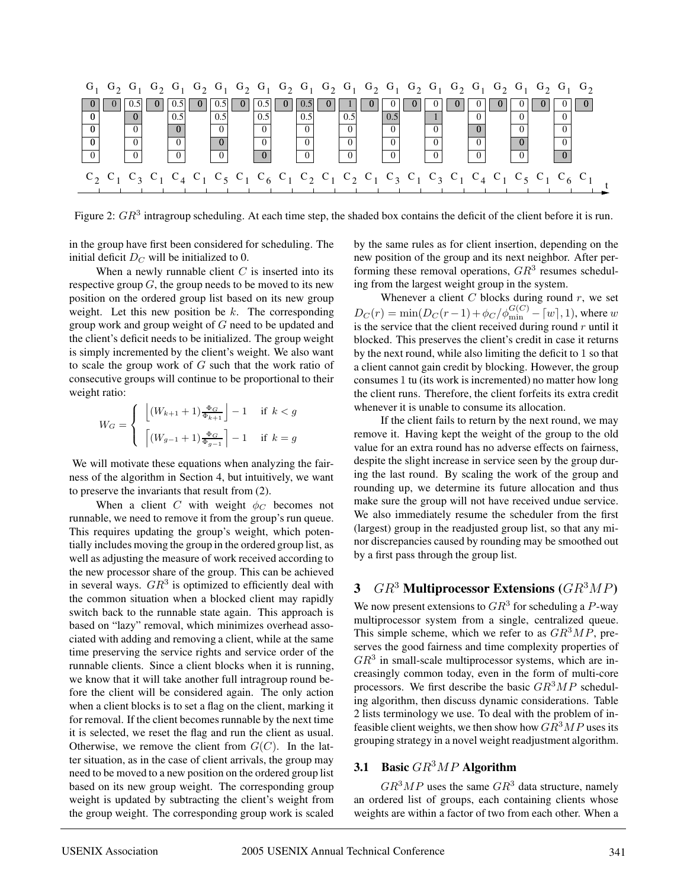

Figure 2:  $GR^3$  intragroup scheduling. At each time step, the shaded box contains the deficit of the client before it is run.

in the group have first been considered for scheduling. The initial deficit  $D<sub>C</sub>$  will be initialized to 0.

When a newly runnable client  $C$  is inserted into its respective group  $G$ , the group needs to be moved to its new position on the ordered group list based on its new group weight. Let this new position be  $k$ . The corresponding group work and group weight of G need to be updated and the client's deficit needs to be initialized. The group weight is simply incremented by the client's weight. We also want to scale the group work of  $G$  such that the work ratio of consecutive groups will continue to be proportional to their weight ratio:

$$
W_G = \begin{cases} \left\lfloor (W_{k+1} + 1) \frac{\Phi_G}{\Phi_{k+1}} \right\rfloor - 1 & \text{if } k < g \\ \left\lceil (W_{g-1} + 1) \frac{\Phi_G}{\Phi_{g-1}} \right\rceil - 1 & \text{if } k = g \end{cases}
$$

We will motivate these equations when analyzing the fairness of the algorithm in Section 4, but intuitively, we want to preserve the invariants that result from (2).

When a client C with weight  $\phi_C$  becomes not runnable, we need to remove it from the group's run queue. This requires updating the group's weight, which potentially includes moving the group in the ordered group list, as well as adjusting the measure of work received according to the new processor share of the group. This can be achieved in several ways.  $GR^3$  is optimized to efficiently deal with the common situation when a blocked client may rapidly switch back to the runnable state again. This approach is based on "lazy" removal, which minimizes overhead associated with adding and removing a client, while at the same time preserving the service rights and service order of the runnable clients. Since a client blocks when it is running, we know that it will take another full intragroup round before the client will be considered again. The only action when a client blocks is to set a flag on the client, marking it for removal. If the client becomes runnable by the next time it is selected, we reset the flag and run the client as usual. Otherwise, we remove the client from  $G(C)$ . In the latter situation, as in the case of client arrivals, the group may need to be moved to a new position on the ordered group list based on its new group weight. The corresponding group weight is updated by subtracting the client's weight from the group weight. The corresponding group work is scaled

by the same rules as for client insertion, depending on the new position of the group and its next neighbor. After performing these removal operations,  $GR<sup>3</sup>$  resumes scheduling from the largest weight group in the system.

Whenever a client  $C$  blocks during round  $r$ , we set  $D_C(r) = \min(D_C(r-1) + \phi_C / \phi_{\min}^{G(C)} - \lceil w \rceil, 1)$ , where  $w$ is the service that the client received during round  $r$  until it blocked. This preserves the client's credit in case it returns by the next round, while also limiting the deficit to 1 so that a client cannot gain credit by blocking. However, the group consumes 1 tu (its work is incremented) no matter how long the client runs. Therefore, the client forfeits its extra credit whenever it is unable to consume its allocation.

If the client fails to return by the next round, we may remove it. Having kept the weight of the group to the old value for an extra round has no adverse effects on fairness, despite the slight increase in service seen by the group during the last round. By scaling the work of the group and rounding up, we determine its future allocation and thus make sure the group will not have received undue service. We also immediately resume the scheduler from the first (largest) group in the readjusted group list, so that any minor discrepancies caused by rounding may be smoothed out by a first pass through the group list.

## **3** GR<sup>3</sup> **Multiprocessor Extensions (**GR<sup>3</sup>MP**)**

We now present extensions to  $GR^3$  for scheduling a P-way multiprocessor system from a single, centralized queue. This simple scheme, which we refer to as  $GR<sup>3</sup>MP$ , preserves the good fairness and time complexity properties of  $GR<sup>3</sup>$  in small-scale multiprocessor systems, which are increasingly common today, even in the form of multi-core processors. We first describe the basic  $GR<sup>3</sup>MP$  scheduling algorithm, then discuss dynamic considerations. Table 2 lists terminology we use. To deal with the problem of infeasible client weights, we then show how  $GR<sup>3</sup>MP$  uses its grouping strategy in a novel weight readjustment algorithm.

## **3.1 Basic** GR3MP **Algorithm**

 $GR<sup>3</sup>MP$  uses the same  $GR<sup>3</sup>$  data structure, namely an ordered list of groups, each containing clients whose weights are within a factor of two from each other. When a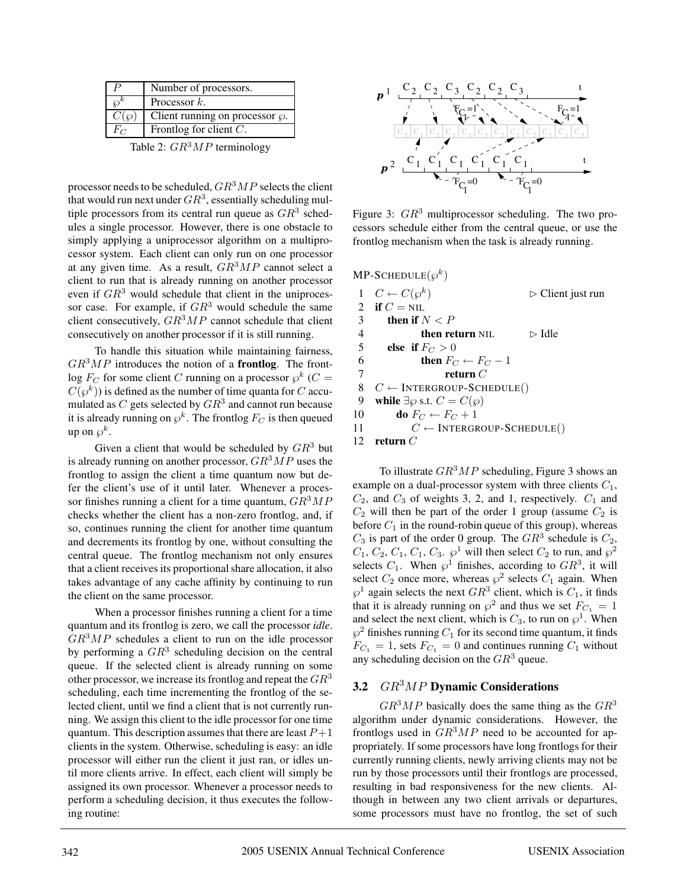|             | Number of processors.<br>Processor $k$ .<br>Client running on processor $\wp$ . |  |
|-------------|---------------------------------------------------------------------------------|--|
|             |                                                                                 |  |
| $C(\omega)$ |                                                                                 |  |
|             | Frontlog for client $C$ .                                                       |  |
|             |                                                                                 |  |

Table 2:  $GR^3MP$  terminology

processor needs to be scheduled,  $GR^3MP$  selects the client that would run next under  $GR^3$ , essentially scheduling multiple processors from its central run queue as  $GR^3$  schedules a single processor. However, there is one obstacle to simply applying a uniprocessor algorithm on a multiprocessor system. Each client can only run on one processor at any given time. As a result,  $GR<sup>3</sup>MP$  cannot select a client to run that is already running on another processor even if  $GR<sup>3</sup>$  would schedule that client in the uniprocessor case. For example, if  $GR<sup>3</sup>$  would schedule the same client consecutively,  $GR^{3}MP$  cannot schedule that client consecutively on another processor if it is still running.

To handle this situation while maintaining fairness,  $GR<sup>3</sup>MP$  introduces the notion of a **frontlog**. The frontlog  $F_C$  for some client C running on a processor  $\wp^k$  (C =  $C(\varphi^k)$  is defined as the number of time quanta for C accumulated as  $C$  gets selected by  $GR^3$  and cannot run because it is already running on  $\wp^k$ . The frontlog  $F_C$  is then queued up on  $\varphi^k$ .

Given a client that would be scheduled by  $GR^3$  but is already running on another processor,  $GR<sup>3</sup>MP$  uses the frontlog to assign the client a time quantum now but defer the client's use of it until later. Whenever a processor finishes running a client for a time quantum,  $GR^3MP$ checks whether the client has a non-zero frontlog, and, if so, continues running the client for another time quantum and decrements its frontlog by one, without consulting the central queue. The frontlog mechanism not only ensures that a client receives its proportional share allocation, it also takes advantage of any cache affinity by continuing to run the client on the same processor.

When a processor finishes running a client for a time quantum and its frontlog is zero, we call the processor *idle*.  $GR<sup>3</sup>MP$  schedules a client to run on the idle processor by performing a  $GR<sup>3</sup>$  scheduling decision on the central queue. If the selected client is already running on some other processor, we increase its frontlog and repeat the  $GR<sup>3</sup>$ scheduling, each time incrementing the frontlog of the selected client, until we find a client that is not currently running. We assign this client to the idle processor for one time quantum. This description assumes that there are least  $P+1$ clients in the system. Otherwise, scheduling is easy: an idle processor will either run the client it just ran, or idles until more clients arrive. In effect, each client will simply be assigned its own processor. Whenever a processor needs to perform a scheduling decision, it thus executes the following routine:



Figure 3:  $GR^3$  multiprocessor scheduling. The two processors schedule either from the central queue, or use the frontlog mechanism when the task is already running.

 $MP-SCHEDULE(\varphi^k)$ 

|                | $1 \quad C \leftarrow C(\wp^k)$               | $\triangleright$ Client just run |
|----------------|-----------------------------------------------|----------------------------------|
|                | 2 if $C = \text{NIL}$                         |                                  |
| 3              | then if $N < P$                               |                                  |
| $\overline{4}$ | <b>then return NIL</b>                        | $\triangleright$ Idle            |
| 5              | else if $F_C > 0$                             |                                  |
| 6              | then $F_C \leftarrow F_C - 1$                 |                                  |
| 7              | return $C$                                    |                                  |
| -8             | $C \leftarrow$ INTERGROUP-SCHEDULE()          |                                  |
| 9              | while $\exists \varphi$ s.t. $C = C(\varphi)$ |                                  |
| 10             | do $F_C \leftarrow F_C + 1$                   |                                  |
| 11             | $C \leftarrow$ INTERGROUP-SCHEDULE()          |                                  |
| 12             | return $C$                                    |                                  |

To illustrate  $GR^3MP$  scheduling, Figure 3 shows an example on a dual-processor system with three clients  $C_1$ ,  $C_2$ , and  $C_3$  of weights 3, 2, and 1, respectively.  $C_1$  and  $C_2$  will then be part of the order 1 group (assume  $C_2$  is before  $C_1$  in the round-robin queue of this group), whereas  $C_3$  is part of the order 0 group. The  $GR^3$  schedule is  $C_2$ ,  $C_1, C_2, C_1, C_1, C_3$ .  $\wp^1$  will then select  $C_2$  to run, and  $\wp^2$ selects  $C_1$ . When  $\wp^1$  finishes, according to  $GR^3$ , it will select  $C_2$  once more, whereas  $\wp^2$  selects  $C_1$  again. When  $\wp^1$  again selects the next  $GR^3$  client, which is  $C_1$ , it finds that it is already running on  $\varphi^2$  and thus we set  $F_{C_1} = 1$ and select the next client, which is  $C_3$ , to run on  $\wp^1$ . When  $\wp^2$  finishes running  $C_1$  for its second time quantum, it finds  $F_{C_1} = 1$ , sets  $F_{C_1} = 0$  and continues running  $C_1$  without any scheduling decision on the  $GR<sup>3</sup>$  queue.

#### **3.2** GR3MP **Dynamic Considerations**

 $GR<sup>3</sup>MP$  basically does the same thing as the  $GR<sup>3</sup>$ algorithm under dynamic considerations. However, the frontlogs used in  $GR^3MP$  need to be accounted for appropriately. If some processors have long frontlogs for their currently running clients, newly arriving clients may not be run by those processors until their frontlogs are processed, resulting in bad responsiveness for the new clients. Although in between any two client arrivals or departures, some processors must have no frontlog, the set of such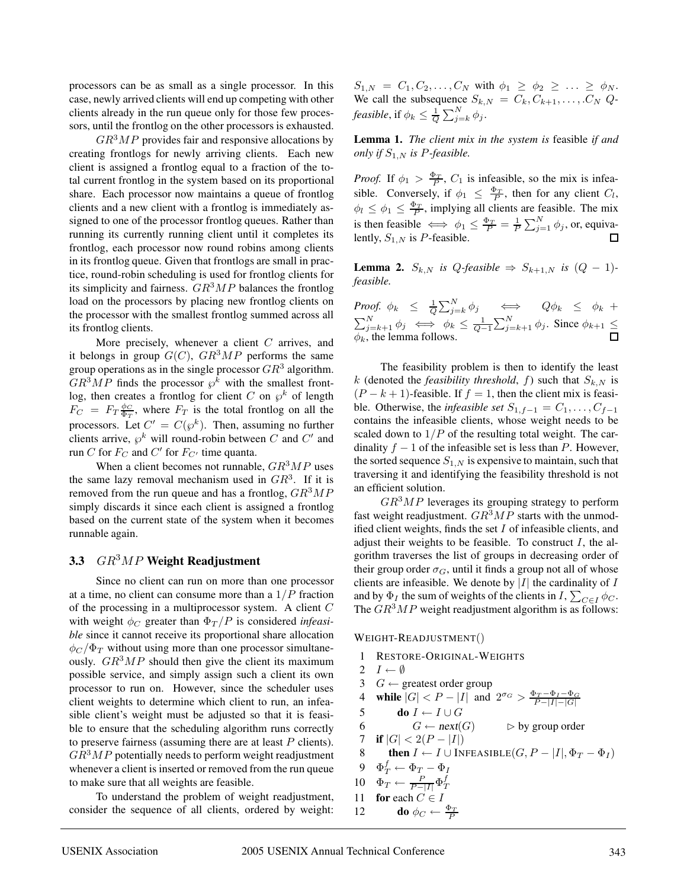processors can be as small as a single processor. In this case, newly arrived clients will end up competing with other clients already in the run queue only for those few processors, until the frontlog on the other processors is exhausted.

 $GR<sup>3</sup>MP$  provides fair and responsive allocations by creating frontlogs for newly arriving clients. Each new client is assigned a frontlog equal to a fraction of the total current frontlog in the system based on its proportional share. Each processor now maintains a queue of frontlog clients and a new client with a frontlog is immediately assigned to one of the processor frontlog queues. Rather than running its currently running client until it completes its frontlog, each processor now round robins among clients in its frontlog queue. Given that frontlogs are small in practice, round-robin scheduling is used for frontlog clients for its simplicity and fairness.  $GR^3MP$  balances the frontlog load on the processors by placing new frontlog clients on the processor with the smallest frontlog summed across all its frontlog clients.

More precisely, whenever a client  $C$  arrives, and it belongs in group  $G(C)$ ,  $GR^3MP$  performs the same group operations as in the single processor  $GR^3$  algorithm.  $GR<sup>3</sup>MP$  finds the processor  $\varphi^{k}$  with the smallest frontlog, then creates a frontlog for client C on  $\varphi^k$  of length  $\overline{F}_C = F_T \frac{\phi_C}{\Phi_T}$ , where  $F_T$  is the total frontlog on all the processors. Let  $C' = C(\wp^k)$ . Then, assuming no further clients arrive,  $\wp^k$  will round-robin between C and C' and run C for  $F_C$  and C' for  $F_{C'}$  time quanta.

When a client becomes not runnable,  $GR<sup>3</sup>MP$  uses the same lazy removal mechanism used in  $GR<sup>3</sup>$ . If it is removed from the run queue and has a frontlog,  $GR^3MP$ simply discards it since each client is assigned a frontlog based on the current state of the system when it becomes runnable again.

#### **3.3** GR3MP **Weight Readjustment**

Since no client can run on more than one processor at a time, no client can consume more than a  $1/P$  fraction of the processing in a multiprocessor system. A client C with weight  $\phi_C$  greater than  $\Phi_T/P$  is considered *infeasible* since it cannot receive its proportional share allocation  $\phi_C / \Phi_T$  without using more than one processor simultaneously.  $GR^3MP$  should then give the client its maximum possible service, and simply assign such a client its own processor to run on. However, since the scheduler uses client weights to determine which client to run, an infeasible client's weight must be adjusted so that it is feasible to ensure that the scheduling algorithm runs correctly to preserve fairness (assuming there are at least  $P$  clients).  $GR<sup>3</sup>MP$  potentially needs to perform weight readjustment whenever a client is inserted or removed from the run queue to make sure that all weights are feasible.

To understand the problem of weight readjustment, consider the sequence of all clients, ordered by weight:

 $S_{1,N} = C_1, C_2, \ldots, C_N$  with  $\phi_1 \geq \phi_2 \geq \ldots \geq \phi_N$ . We call the subsequence  $S_{k,N} = C_k, C_{k+1}, \ldots, C_N$  Q*feasible*, if  $\phi_k \leq \frac{1}{Q}\sum_{j=k}^N \phi_j$ .

**Lemma 1.** *The client mix in the system is* feasible *if and only if*  $S_{1,N}$  *is P-feasible.* 

*Proof.* If  $\phi_1 > \frac{\Phi_T}{P}$ ,  $C_1$  is infeasible, so the mix is infeasible. Conversely, if  $\phi_1 \leq \frac{\Phi_T}{P}$ , then for any client  $C_l$ ,  $\phi_l \leq \phi_1 \leq \frac{\Phi_T}{P}$ , implying all clients are feasible. The mix is then feasible  $\Leftrightarrow \phi_1 \leq \frac{\Phi_T}{P} = \frac{1}{P} \sum_{j=1}^N \phi_j$ , or, equivalently,  $S_{1,N}$  is P-feasible.

**Lemma 2.**  $S_{k,N}$  *is*  $Q$ -feasible  $\Rightarrow$   $S_{k+1,N}$  *is*  $(Q - 1)$ *feasible.*

*Proof.*  $\phi_k \leq \frac{1}{Q} \sum_{j=k}^N \phi_j \iff Q \phi_k \leq \phi_k +$  $\sum_{j=k+1}^{N} \phi_j \iff \phi_k \leq \frac{1}{Q-1} \sum_{j=k+1}^{N} \phi_j$ . Since  $\phi_{k+1} \leq$  $\phi_k$ , the lemma follows.

The feasibility problem is then to identify the least k (denoted the *feasibility threshold*, f) such that  $S_{k,N}$  is  $(P - k + 1)$ -feasible. If  $f = 1$ , then the client mix is feasible. Otherwise, the *infeasible set*  $S_{1,f-1} = C_1, \ldots, C_{f-1}$ contains the infeasible clients, whose weight needs to be scaled down to  $1/P$  of the resulting total weight. The cardinality  $f - 1$  of the infeasible set is less than P. However, the sorted sequence  $S_{1,N}$  is expensive to maintain, such that traversing it and identifying the feasibility threshold is not an efficient solution.

 $GR<sup>3</sup>MP$  leverages its grouping strategy to perform fast weight readjustment.  $GR^3MP$  starts with the unmodified client weights, finds the set  $I$  of infeasible clients, and adjust their weights to be feasible. To construct  $I$ , the algorithm traverses the list of groups in decreasing order of their group order  $\sigma_G$ , until it finds a group not all of whose clients are infeasible. We denote by  $|I|$  the cardinality of I and by  $\Phi_I$  the sum of weights of the clients in  $I, \sum_{C \in I} \phi_C$ . The  $GR<sup>3</sup>MP$  weight readjustment algorithm is as follows:

WEIGHT-READJUSTMENT()

1 RESTORE-ORIGINAL-WEIGHTS  $I \leftarrow \emptyset$  $G \leftarrow$  greatest order group **while**  $|G| < P - |I|$  and  $2^{\sigma G} > \frac{\Phi_T - \Phi_I - \Phi_G}{P - |I| - |G|}$ **do**  $I \leftarrow I \cup G$  $G \leftarrow \text{next}(G) \qquad \Rightarrow$  by group order **if**  $|G| < 2(P - |I|)$ **then**  $I \leftarrow I \cup \text{INFEASIBLE}(G, P - |I|, \Phi_T - \Phi_I)$  $9 \quad \Phi_T^f \leftarrow \Phi_T - \Phi_I$  $\Phi_T \leftarrow \frac{P}{P-|I|} \Phi_T^f$ **for** each  $C \in I$ **do**  $\phi_C \leftarrow \frac{\Phi_T}{P}$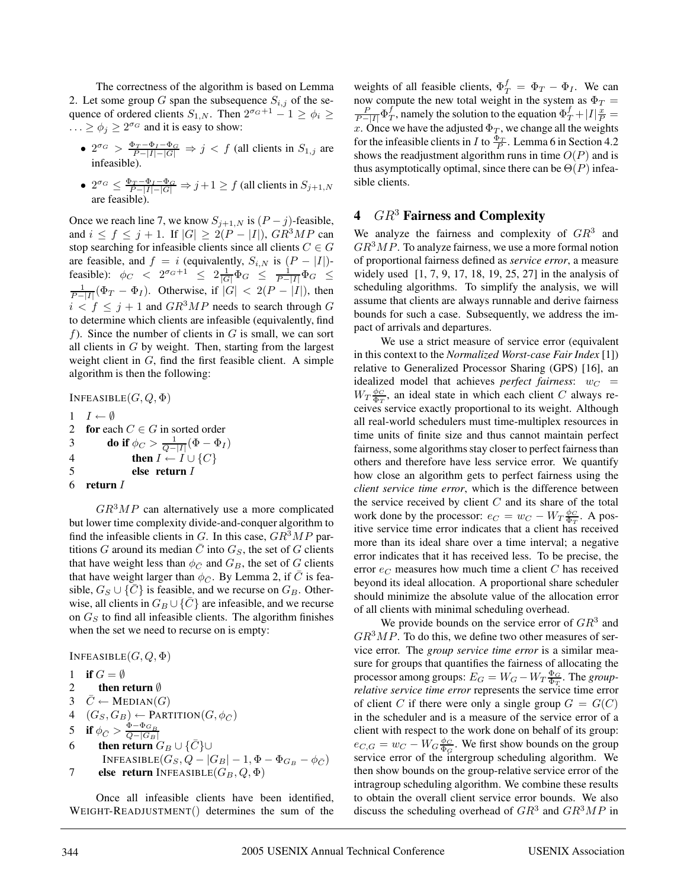The correctness of the algorithm is based on Lemma 2. Let some group G span the subsequence  $S_{i,j}$  of the sequence of ordered clients  $S_{1,N}$ . Then  $2^{\sigma_G+1} - 1 \ge \phi_i \ge$  $\ldots \ge \phi_j \ge 2^{\sigma_G}$  and it is easy to show:

- $2^{\sigma_G} > \frac{\Phi_T \Phi_I \Phi_G}{P |I| |G|} \Rightarrow j < f$  (all clients in  $S_{1,j}$  are infeasible).
- $2^{\sigma_G} \leq \frac{\Phi_T \Phi_I \Phi_G}{P |I| |G|} \Rightarrow j + 1 \geq f$  (all clients in  $S_{j+1,N}$ are feasible).

Once we reach line 7, we know  $S_{i+1,N}$  is  $(P - j)$ -feasible, and  $i \le f \le j + 1$ . If  $|G| \ge 2(P - |I|)$ ,  $GR^3MP$  can stop searching for infeasible clients since all clients  $C \in G$ are feasible, and  $f = i$  (equivalently,  $S_{i,N}$  is  $(P - |I|)$ feasible):  $\phi_C$  <  $2^{\sigma_G+1} \leq 2\frac{1}{|G|}\Phi_G \leq \frac{1}{P-|I|}\Phi_G \leq$  $\frac{1}{P-|I|}(\Phi_T - \Phi_I)$ . Otherwise, if  $|G| < 2(P - |I|)$ , then  $i < f \leq j + 1$  and  $GR^3MP$  needs to search through G to determine which clients are infeasible (equivalently, find f). Since the number of clients in  $G$  is small, we can sort all clients in  $G$  by weight. Then, starting from the largest weight client in  $G$ , find the first feasible client. A simple algorithm is then the following:

INFEASIBLE $(G, Q, \Phi)$ 

 $1 \quad I \leftarrow \emptyset$ **for** each  $C \in G$  in sorted order **do if**  $\phi_C > \frac{1}{Q-|I|}(\Phi - \Phi_I)$ **then**  $I \leftarrow I \cup \{C\}$  **else return** I 6 **return** I

 $GR<sup>3</sup>MP$  can alternatively use a more complicated but lower time complexity divide-and-conquer algorithm to find the infeasible clients in G. In this case,  $GR^3MP$  partitions G around its median  $\overline{C}$  into  $G_S$ , the set of G clients that have weight less than  $\phi_{\overline{C}}$  and  $G_B$ , the set of G clients that have weight larger than  $\phi_{\overline{C}}$ . By Lemma 2, if C is feasible,  $G_S \cup \{C\}$  is feasible, and we recurse on  $G_B$ . Otherwise, all clients in  $G_B \cup \{\bar{C}\}\$ are infeasible, and we recurse on  $G_S$  to find all infeasible clients. The algorithm finishes when the set we need to recurse on is empty:

INFEASIBLE $(G, Q, \Phi)$ 

1 if 
$$
G = \emptyset
$$
  
\n2 then return  $\emptyset$   
\n3  $\bar{C}$  ← MEDIAN(*G*)  
\n4  $(G_S, G_B)$  ← PARTITION( $G, \phi_{\bar{C}}$ )  
\n5 if  $\phi_{\bar{C}} > \frac{\Phi - \Phi_{G_B}}{Q - |G_B|}$   
\n6 then return  $G_B \cup {\bar{C}} \cup$   
\nINFEASIBLE( $G_S, Q - |G_B| - 1, \Phi - \Phi_{G_B} - \phi_{\bar{C}}$ )  
\n**else return INFEASIBLE**( $G_B, Q, \Phi$ )

Once all infeasible clients have been identified, WEIGHT-READJUSTMENT() determines the sum of the

weights of all feasible clients,  $\Phi_T^f = \Phi_T - \Phi_I$ . We can now compute the new total weight in the system as  $\Phi_T =$  $\frac{P}{P-|I|} \Phi_I^f$ , namely the solution to the equation  $\Phi_I^f + |I| \frac{x}{P} =$ x. Once we have the adjusted  $\Phi_T$ , we change all the weights for the infeasible clients in I to  $\frac{\Phi_T}{P}$ . Lemma 6 in Section 4.2 shows the readjustment algorithm runs in time  $O(P)$  and is thus asymptotically optimal, since there can be  $\Theta(P)$  infeasible clients.

### **4** GR<sup>3</sup> **Fairness and Complexity**

We analyze the fairness and complexity of  $GR<sup>3</sup>$  and  $GR<sup>3</sup>MP$ . To analyze fairness, we use a more formal notion of proportional fairness defined as *service error*, a measure widely used [1, 7, 9, 17, 18, 19, 25, 27] in the analysis of scheduling algorithms. To simplify the analysis, we will assume that clients are always runnable and derive fairness bounds for such a case. Subsequently, we address the impact of arrivals and departures.

We use a strict measure of service error (equivalent in this context to the *Normalized Worst-case Fair Index* [1]) relative to Generalized Processor Sharing (GPS) [16], an idealized model that achieves *perfect fairness*:  $w_C$  =  $W_T \frac{\phi_C}{\Phi_T}$ , an ideal state in which each client C always receives service exactly proportional to its weight. Although all real-world schedulers must time-multiplex resources in time units of finite size and thus cannot maintain perfect fairness, some algorithms stay closer to perfect fairness than others and therefore have less service error. We quantify how close an algorithm gets to perfect fairness using the *client service time error*, which is the difference between the service received by client  $C$  and its share of the total work done by the processor:  $e_C = w_C - W_T \frac{\phi_C}{\Phi_T}$ . A positive service time error indicates that a client has received more than its ideal share over a time interval; a negative error indicates that it has received less. To be precise, the error  $e_C$  measures how much time a client C has received beyond its ideal allocation. A proportional share scheduler should minimize the absolute value of the allocation error of all clients with minimal scheduling overhead.

We provide bounds on the service error of  $GR<sup>3</sup>$  and  $GR<sup>3</sup>MP$ . To do this, we define two other measures of service error. The *group service time error* is a similar measure for groups that quantifies the fairness of allocating the processor among groups:  $E_G = W_G - W_T \frac{\Phi_G}{\Phi_T}$ . The *grouprelative service time error* represents the service time error of client C if there were only a single group  $G = G(C)$ in the scheduler and is a measure of the service error of a client with respect to the work done on behalf of its group:  $e_{C,G} = w_C - W_G \frac{\phi_C}{\Phi_G}$ . We first show bounds on the group service error of the intergroup scheduling algorithm. We then show bounds on the group-relative service error of the intragroup scheduling algorithm. We combine these results to obtain the overall client service error bounds. We also discuss the scheduling overhead of  $GR^3$  and  $GR^3MP$  in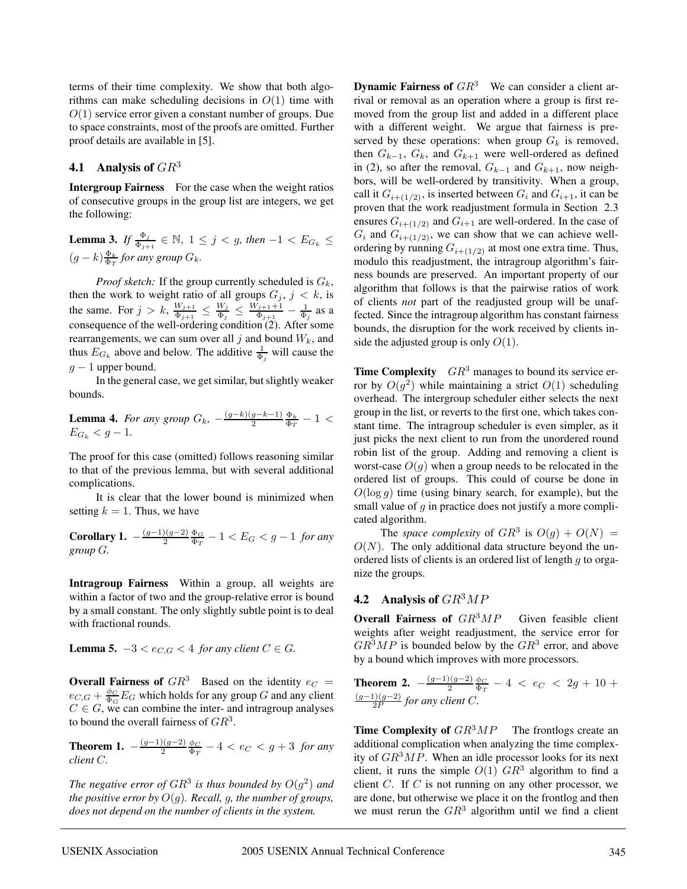terms of their time complexity. We show that both algorithms can make scheduling decisions in  $O(1)$  time with  $O(1)$  service error given a constant number of groups. Due to space constraints, most of the proofs are omitted. Further proof details are available in [5].

### **4.1 Analysis of** GR<sup>3</sup>

**Intergroup Fairness** For the case when the weight ratios of consecutive groups in the group list are integers, we get the following:

**Lemma 3.** *If*  $\frac{\Phi_j}{\Phi_{j+1}} \in \mathbb{N}$ ,  $1 \leq j < g$ , then  $-1 < E_{G_k} \leq$  $(g - k) \frac{\Phi_k}{\Phi_T}$  *for any group*  $G_k$ *.* 

*Proof sketch:* If the group currently scheduled is  $G_k$ , then the work to weight ratio of all groups  $G_j$ ,  $j < k$ , is the same. For  $j > k$ ,  $\frac{W_{j+1}}{\Phi_{j+1}} \le \frac{W_j}{\Phi_j} \le \frac{W_{j+1}+1}{\Phi_{j+1}} - \frac{1}{\Phi_j}$  as a consequence of the well-ordering condition (2). After some rearrangements, we can sum over all j and bound  $W_k$ , and thus  $E_{G_k}$  above and below. The additive  $\frac{1}{\Phi_j}$  will cause the  $g - 1$  upper bound.

In the general case, we get similar, but slightly weaker bounds.

**Lemma 4.** *For any group*  $G_k$ ,  $-\frac{(g-k)(g-k-1)}{2}\frac{\Phi_k}{\Phi_T} - 1$  <  $E_{G_k} < g - 1$ .

The proof for this case (omitted) follows reasoning similar to that of the previous lemma, but with several additional complications.

It is clear that the lower bound is minimized when setting  $k = 1$ . Thus, we have

**Corollary 1.**  $-\frac{(g-1)(g-2)}{2} \frac{\Phi_G}{\Phi_T} - 1 < E_G < g - 1$  *for any group* G*.*

**Intragroup Fairness** Within a group, all weights are within a factor of two and the group-relative error is bound by a small constant. The only slightly subtle point is to deal with fractional rounds.

**Lemma 5.**  $-3 < e_{C,G} < 4$  *for any client*  $C \in G$ *.* 

**Overall Fairness of**  $GR^3$  Based on the identity  $e_C$  =  $e_{C,G} + \frac{\phi_C}{\Phi_G} E_G$  which holds for any group G and any client  $C \in G$ , we can combine the inter- and intragroup analyses to bound the overall fairness of  $GR<sup>3</sup>$ .

**Theorem 1.**  $-\frac{(g-1)(g-2)}{2} \frac{\phi_C}{\Phi_T} - 4 < e_C < g + 3$  *for any client* C*.*

*The negative error of*  $GR^3$  *is thus bounded by*  $O(g^2)$  *and the positive error by*  $O(q)$ *. Recall, q, the number of groups, does not depend on the number of clients in the system.*

**Dynamic Fairness of**  $GR^3$  We can consider a client arrival or removal as an operation where a group is first removed from the group list and added in a different place with a different weight. We argue that fairness is preserved by these operations: when group  $G_k$  is removed, then  $G_{k-1}$ ,  $G_k$ , and  $G_{k+1}$  were well-ordered as defined in (2), so after the removal,  $G_{k-1}$  and  $G_{k+1}$ , now neighbors, will be well-ordered by transitivity. When a group, call it  $G_{i+(1/2)}$ , is inserted between  $G_i$  and  $G_{i+1}$ , it can be proven that the work readjustment formula in Section 2.3 ensures  $G_{i+(1/2)}$  and  $G_{i+1}$  are well-ordered. In the case of  $G_i$  and  $G_{i+(1/2)}$ , we can show that we can achieve wellordering by running  $G_{i+(1/2)}$  at most one extra time. Thus, modulo this readjustment, the intragroup algorithm's fairness bounds are preserved. An important property of our algorithm that follows is that the pairwise ratios of work of clients *not* part of the readjusted group will be unaffected. Since the intragroup algorithm has constant fairness bounds, the disruption for the work received by clients inside the adjusted group is only  $O(1)$ .

**Time Complexity**  $GR^3$  manages to bound its service error by  $O(q^2)$  while maintaining a strict  $O(1)$  scheduling overhead. The intergroup scheduler either selects the next group in the list, or reverts to the first one, which takes constant time. The intragroup scheduler is even simpler, as it just picks the next client to run from the unordered round robin list of the group. Adding and removing a client is worst-case  $O(q)$  when a group needs to be relocated in the ordered list of groups. This could of course be done in  $O(\log g)$  time (using binary search, for example), but the small value of  $q$  in practice does not justify a more complicated algorithm.

The *space complexity* of  $GR^3$  is  $O(q) + O(N) =$  $O(N)$ . The only additional data structure beyond the unordered lists of clients is an ordered list of length q to organize the groups.

#### **4.2 Analysis of** GR3MP

**Overall Fairness of**  $GR^3MP$  Given feasible client weights after weight readjustment, the service error for  $GR<sup>3</sup>MP$  is bounded below by the  $GR<sup>3</sup>$  error, and above by a bound which improves with more processors.

**Theorem 2.** 
$$
-\frac{(g-1)(g-2)}{2} \frac{\phi_C}{\Phi_T} - 4 < e_C < 2g + 10 + \frac{(g-1)(g-2)}{2P}
$$
 for any client C.

**Time Complexity of**  $GR^3MP$  The frontlogs create an additional complication when analyzing the time complexity of  $GR<sup>3</sup>MP$ . When an idle processor looks for its next client, it runs the simple  $O(1)$   $GR^3$  algorithm to find a client  $C$ . If  $C$  is not running on any other processor, we are done, but otherwise we place it on the frontlog and then we must rerun the  $GR<sup>3</sup>$  algorithm until we find a client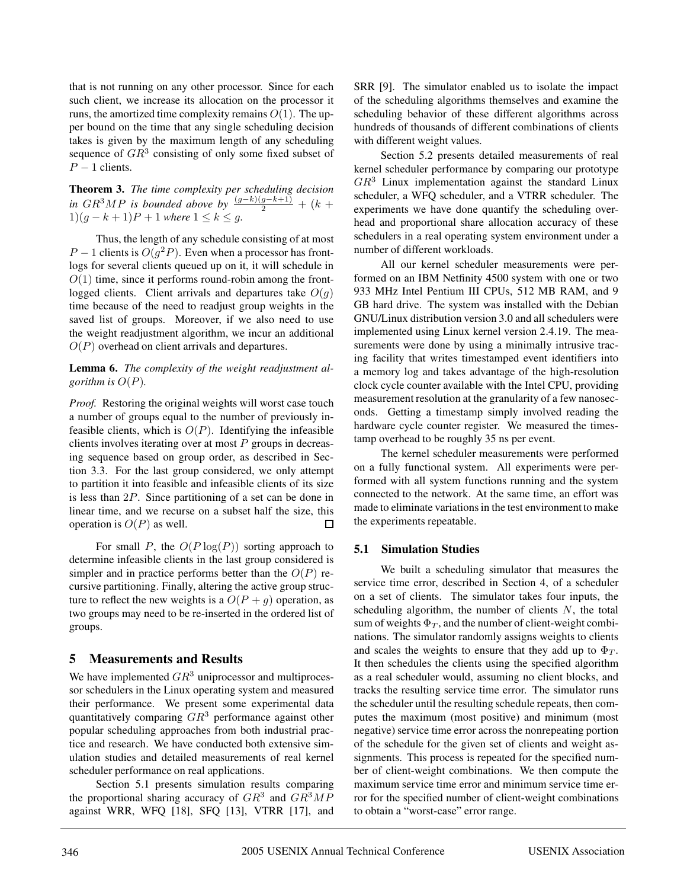that is not running on any other processor. Since for each such client, we increase its allocation on the processor it runs, the amortized time complexity remains  $O(1)$ . The upper bound on the time that any single scheduling decision takes is given by the maximum length of any scheduling sequence of  $GR<sup>3</sup>$  consisting of only some fixed subset of  $P-1$  clients.

**Theorem 3.** *The time complexity per scheduling decision in* GR<sup>3</sup>MP *is bounded above by*  $\frac{(g-k)(g-k+1)}{2} + (k + 1)$ 1)(g − k + 1)P + 1 *where*  $1 \le k \le g$ *.* 

Thus, the length of any schedule consisting of at most  $P-1$  clients is  $O(q^2P)$ . Even when a processor has frontlogs for several clients queued up on it, it will schedule in  $O(1)$  time, since it performs round-robin among the frontlogged clients. Client arrivals and departures take  $O(q)$ time because of the need to readjust group weights in the saved list of groups. Moreover, if we also need to use the weight readjustment algorithm, we incur an additional  $O(P)$  overhead on client arrivals and departures.

#### **Lemma 6.** *The complexity of the weight readjustment algorithm is* O(P)*.*

*Proof.* Restoring the original weights will worst case touch a number of groups equal to the number of previously infeasible clients, which is  $O(P)$ . Identifying the infeasible clients involves iterating over at most  $P$  groups in decreasing sequence based on group order, as described in Section 3.3. For the last group considered, we only attempt to partition it into feasible and infeasible clients of its size is less than 2P. Since partitioning of a set can be done in linear time, and we recurse on a subset half the size, this operation is  $O(P)$  as well.  $\Box$ 

For small P, the  $O(P \log(P))$  sorting approach to determine infeasible clients in the last group considered is simpler and in practice performs better than the  $O(P)$  recursive partitioning. Finally, altering the active group structure to reflect the new weights is a  $O(P + q)$  operation, as two groups may need to be re-inserted in the ordered list of groups.

## **5 Measurements and Results**

We have implemented  $GR^3$  uniprocessor and multiprocessor schedulers in the Linux operating system and measured their performance. We present some experimental data quantitatively comparing  $GR^3$  performance against other popular scheduling approaches from both industrial practice and research. We have conducted both extensive simulation studies and detailed measurements of real kernel scheduler performance on real applications.

Section 5.1 presents simulation results comparing the proportional sharing accuracy of  $GR^3$  and  $GR^3MP$ against WRR, WFQ [18], SFQ [13], VTRR [17], and

SRR [9]. The simulator enabled us to isolate the impact of the scheduling algorithms themselves and examine the scheduling behavior of these different algorithms across hundreds of thousands of different combinations of clients with different weight values.

Section 5.2 presents detailed measurements of real kernel scheduler performance by comparing our prototype  $GR<sup>3</sup>$  Linux implementation against the standard Linux scheduler, a WFQ scheduler, and a VTRR scheduler. The experiments we have done quantify the scheduling overhead and proportional share allocation accuracy of these schedulers in a real operating system environment under a number of different workloads.

All our kernel scheduler measurements were performed on an IBM Netfinity 4500 system with one or two 933 MHz Intel Pentium III CPUs, 512 MB RAM, and 9 GB hard drive. The system was installed with the Debian GNU/Linux distribution version 3.0 and all schedulers were implemented using Linux kernel version 2.4.19. The measurements were done by using a minimally intrusive tracing facility that writes timestamped event identifiers into a memory log and takes advantage of the high-resolution clock cycle counter available with the Intel CPU, providing measurement resolution at the granularity of a few nanoseconds. Getting a timestamp simply involved reading the hardware cycle counter register. We measured the timestamp overhead to be roughly 35 ns per event.

The kernel scheduler measurements were performed on a fully functional system. All experiments were performed with all system functions running and the system connected to the network. At the same time, an effort was made to eliminate variations in the test environment to make the experiments repeatable.

#### **5.1 Simulation Studies**

We built a scheduling simulator that measures the service time error, described in Section 4, of a scheduler on a set of clients. The simulator takes four inputs, the scheduling algorithm, the number of clients  $N$ , the total sum of weights  $\Phi_T$ , and the number of client-weight combinations. The simulator randomly assigns weights to clients and scales the weights to ensure that they add up to  $\Phi_T$ . It then schedules the clients using the specified algorithm as a real scheduler would, assuming no client blocks, and tracks the resulting service time error. The simulator runs the scheduler until the resulting schedule repeats, then computes the maximum (most positive) and minimum (most negative) service time error across the nonrepeating portion of the schedule for the given set of clients and weight assignments. This process is repeated for the specified number of client-weight combinations. We then compute the maximum service time error and minimum service time error for the specified number of client-weight combinations to obtain a "worst-case" error range.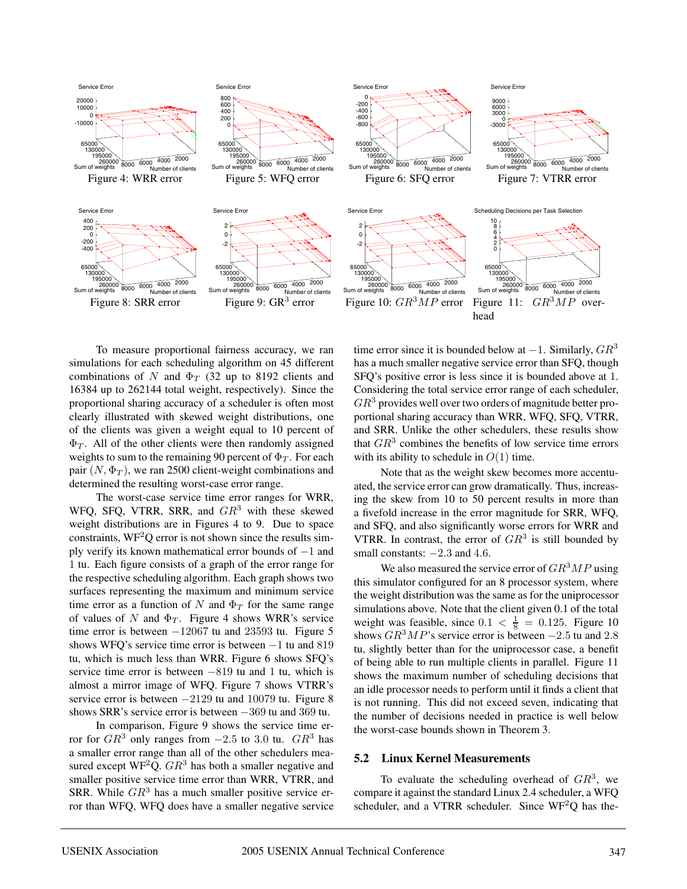

To measure proportional fairness accuracy, we ran simulations for each scheduling algorithm on 45 different combinations of N and  $\Phi_T$  (32 up to 8192 clients and 16384 up to 262144 total weight, respectively). Since the proportional sharing accuracy of a scheduler is often most clearly illustrated with skewed weight distributions, one of the clients was given a weight equal to 10 percent of  $\Phi_T$ . All of the other clients were then randomly assigned weights to sum to the remaining 90 percent of  $\Phi_T$ . For each pair  $(N, \Phi_T)$ , we ran 2500 client-weight combinations and determined the resulting worst-case error range.

The worst-case service time error ranges for WRR, WFQ, SFQ, VTRR, SRR, and  $GR<sup>3</sup>$  with these skewed weight distributions are in Figures 4 to 9. Due to space constraints,  $WF^2Q$  error is not shown since the results simply verify its known mathematical error bounds of −1 and 1 tu. Each figure consists of a graph of the error range for the respective scheduling algorithm. Each graph shows two surfaces representing the maximum and minimum service time error as a function of N and  $\Phi_T$  for the same range of values of N and  $\Phi_T$ . Figure 4 shows WRR's service time error is between  $-12067$  tu and 23593 tu. Figure 5 shows WFQ's service time error is between −1 tu and 819 tu, which is much less than WRR. Figure 6 shows SFQ's service time error is between −819 tu and 1 tu, which is almost a mirror image of WFQ. Figure 7 shows VTRR's service error is between −2129 tu and 10079 tu. Figure 8 shows SRR's service error is between −369 tu and 369 tu.

In comparison, Figure 9 shows the service time error for  $GR^3$  only ranges from  $-2.5$  to 3.0 tu.  $GR^3$  has a smaller error range than all of the other schedulers measured except  $WF^2Q$ .  $GR^3$  has both a smaller negative and smaller positive service time error than WRR, VTRR, and SRR. While  $GR<sup>3</sup>$  has a much smaller positive service error than WFQ, WFQ does have a smaller negative service

time error since it is bounded below at  $-1$ . Similarly,  $GR^3$ has a much smaller negative service error than SFQ, though SFQ's positive error is less since it is bounded above at 1. Considering the total service error range of each scheduler,  $GR<sup>3</sup>$  provides well over two orders of magnitude better proportional sharing accuracy than WRR, WFQ, SFQ, VTRR, and SRR. Unlike the other schedulers, these results show that  $GR<sup>3</sup>$  combines the benefits of low service time errors with its ability to schedule in  $O(1)$  time.

Note that as the weight skew becomes more accentuated, the service error can grow dramatically. Thus, increasing the skew from 10 to 50 percent results in more than a fivefold increase in the error magnitude for SRR, WFQ, and SFQ, and also significantly worse errors for WRR and VTRR. In contrast, the error of  $GR^3$  is still bounded by small constants:  $-2.3$  and 4.6.

We also measured the service error of  $GR<sup>3</sup>MP$  using this simulator configured for an 8 processor system, where the weight distribution was the same as for the uniprocessor simulations above. Note that the client given 0.1 of the total weight was feasible, since  $0.1 < \frac{1}{8} = 0.125$ . Figure 10 shows  $GR^3MP$ 's service error is between  $-2.5$  tu and 2.8 tu, slightly better than for the uniprocessor case, a benefit of being able to run multiple clients in parallel. Figure 11 shows the maximum number of scheduling decisions that an idle processor needs to perform until it finds a client that is not running. This did not exceed seven, indicating that the number of decisions needed in practice is well below the worst-case bounds shown in Theorem 3.

#### **5.2 Linux Kernel Measurements**

To evaluate the scheduling overhead of  $GR<sup>3</sup>$ , we compare it against the standard Linux 2.4 scheduler, a WFQ scheduler, and a VTRR scheduler. Since  $WF^2Q$  has the-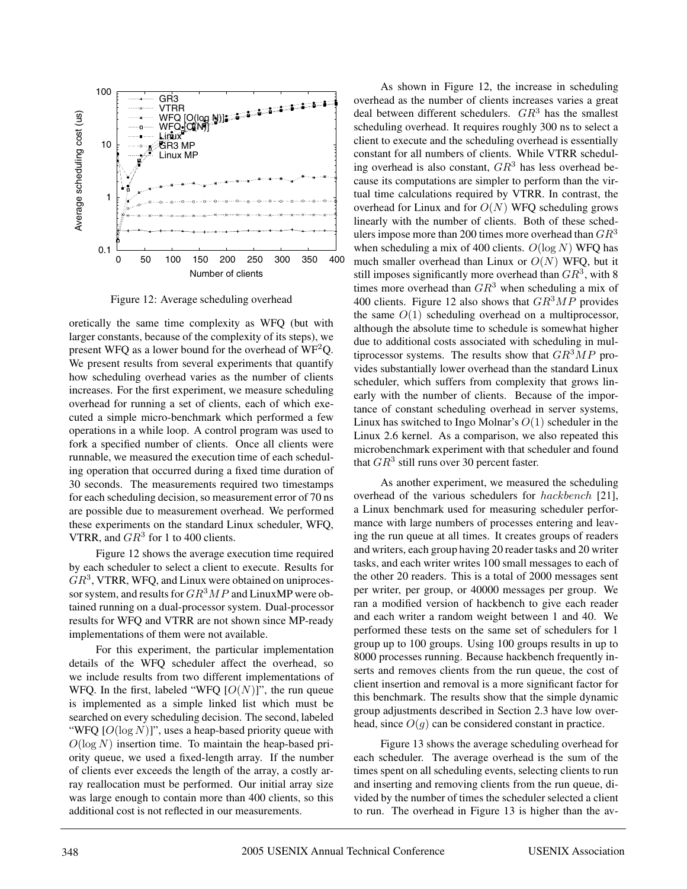

Figure 12: Average scheduling overhead

oretically the same time complexity as WFQ (but with larger constants, because of the complexity of its steps), we present WFQ as a lower bound for the overhead of  $WF^2Q$ . We present results from several experiments that quantify how scheduling overhead varies as the number of clients increases. For the first experiment, we measure scheduling overhead for running a set of clients, each of which executed a simple micro-benchmark which performed a few operations in a while loop. A control program was used to fork a specified number of clients. Once all clients were runnable, we measured the execution time of each scheduling operation that occurred during a fixed time duration of 30 seconds. The measurements required two timestamps for each scheduling decision, so measurement error of 70 ns are possible due to measurement overhead. We performed these experiments on the standard Linux scheduler, WFQ, VTRR, and  $GR^3$  for 1 to 400 clients.

Figure 12 shows the average execution time required by each scheduler to select a client to execute. Results for  $GR<sup>3</sup>$ , VTRR, WFQ, and Linux were obtained on uniprocessor system, and results for  $GR^3MP$  and LinuxMP were obtained running on a dual-processor system. Dual-processor results for WFQ and VTRR are not shown since MP-ready implementations of them were not available.

For this experiment, the particular implementation details of the WFQ scheduler affect the overhead, so we include results from two different implementations of WFQ. In the first, labeled "WFQ  $[O(N)]$ ", the run queue is implemented as a simple linked list which must be searched on every scheduling decision. The second, labeled "WFQ  $[O(\log N)]$ ", uses a heap-based priority queue with  $O(\log N)$  insertion time. To maintain the heap-based priority queue, we used a fixed-length array. If the number of clients ever exceeds the length of the array, a costly array reallocation must be performed. Our initial array size was large enough to contain more than 400 clients, so this additional cost is not reflected in our measurements.

As shown in Figure 12, the increase in scheduling overhead as the number of clients increases varies a great deal between different schedulers.  $GR<sup>3</sup>$  has the smallest scheduling overhead. It requires roughly 300 ns to select a client to execute and the scheduling overhead is essentially constant for all numbers of clients. While VTRR scheduling overhead is also constant,  $GR<sup>3</sup>$  has less overhead because its computations are simpler to perform than the virtual time calculations required by VTRR. In contrast, the overhead for Linux and for  $O(N)$  WFQ scheduling grows linearly with the number of clients. Both of these schedulers impose more than 200 times more overhead than  $GR<sup>3</sup>$ when scheduling a mix of 400 clients.  $O(\log N)$  WFQ has much smaller overhead than Linux or  $O(N)$  WFQ, but it still imposes significantly more overhead than  $GR^3$ , with 8 times more overhead than  $GR^3$  when scheduling a mix of 400 clients. Figure 12 also shows that  $GR<sup>3</sup>MP$  provides the same  $O(1)$  scheduling overhead on a multiprocessor, although the absolute time to schedule is somewhat higher due to additional costs associated with scheduling in multiprocessor systems. The results show that  $GR<sup>3</sup>MP$  provides substantially lower overhead than the standard Linux scheduler, which suffers from complexity that grows linearly with the number of clients. Because of the importance of constant scheduling overhead in server systems, Linux has switched to Ingo Molnar's  $O(1)$  scheduler in the Linux 2.6 kernel. As a comparison, we also repeated this microbenchmark experiment with that scheduler and found that  $GR^3$  still runs over 30 percent faster.

As another experiment, we measured the scheduling overhead of the various schedulers for hackbench [21], a Linux benchmark used for measuring scheduler performance with large numbers of processes entering and leaving the run queue at all times. It creates groups of readers and writers, each group having 20 reader tasks and 20 writer tasks, and each writer writes 100 small messages to each of the other 20 readers. This is a total of 2000 messages sent per writer, per group, or 40000 messages per group. We ran a modified version of hackbench to give each reader and each writer a random weight between 1 and 40. We performed these tests on the same set of schedulers for 1 group up to 100 groups. Using 100 groups results in up to 8000 processes running. Because hackbench frequently inserts and removes clients from the run queue, the cost of client insertion and removal is a more significant factor for this benchmark. The results show that the simple dynamic group adjustments described in Section 2.3 have low overhead, since  $O(g)$  can be considered constant in practice.

Figure 13 shows the average scheduling overhead for each scheduler. The average overhead is the sum of the times spent on all scheduling events, selecting clients to run and inserting and removing clients from the run queue, divided by the number of times the scheduler selected a client to run. The overhead in Figure 13 is higher than the av-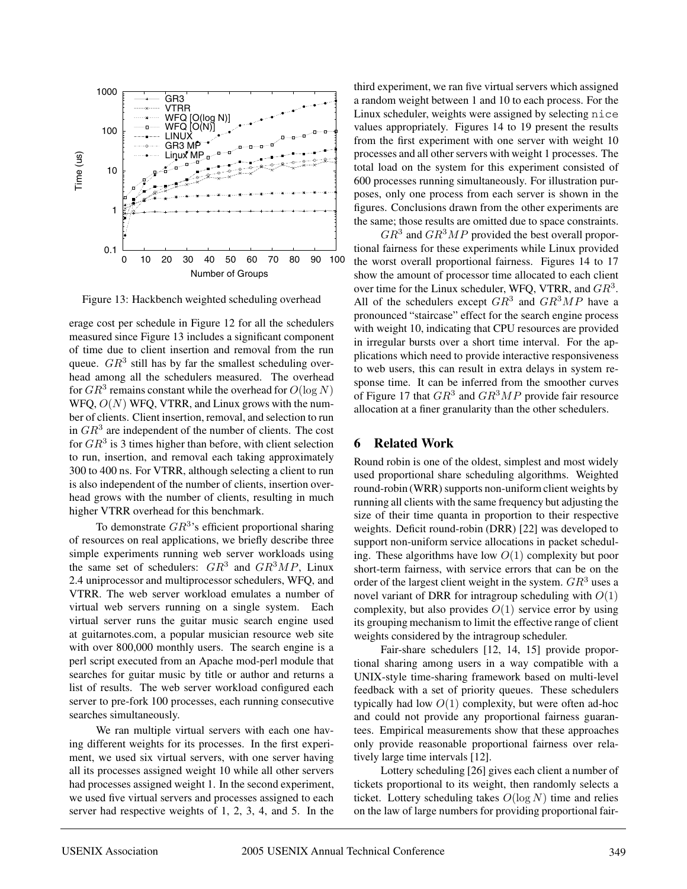

Figure 13: Hackbench weighted scheduling overhead

erage cost per schedule in Figure 12 for all the schedulers measured since Figure 13 includes a significant component of time due to client insertion and removal from the run queue.  $GR^3$  still has by far the smallest scheduling overhead among all the schedulers measured. The overhead for  $GR^3$  remains constant while the overhead for  $O(\log N)$ WFQ,  $O(N)$  WFQ, VTRR, and Linux grows with the number of clients. Client insertion, removal, and selection to run in  $GR<sup>3</sup>$  are independent of the number of clients. The cost for  $GR^3$  is 3 times higher than before, with client selection to run, insertion, and removal each taking approximately 300 to 400 ns. For VTRR, although selecting a client to run is also independent of the number of clients, insertion overhead grows with the number of clients, resulting in much higher VTRR overhead for this benchmark.

To demonstrate  $GR<sup>3</sup>$ 's efficient proportional sharing of resources on real applications, we briefly describe three simple experiments running web server workloads using the same set of schedulers:  $GR^3$  and  $GR^3MP$ , Linux 2.4 uniprocessor and multiprocessor schedulers, WFQ, and VTRR. The web server workload emulates a number of virtual web servers running on a single system. Each virtual server runs the guitar music search engine used at guitarnotes.com, a popular musician resource web site with over 800,000 monthly users. The search engine is a perl script executed from an Apache mod-perl module that searches for guitar music by title or author and returns a list of results. The web server workload configured each server to pre-fork 100 processes, each running consecutive searches simultaneously.

We ran multiple virtual servers with each one having different weights for its processes. In the first experiment, we used six virtual servers, with one server having all its processes assigned weight 10 while all other servers had processes assigned weight 1. In the second experiment, we used five virtual servers and processes assigned to each server had respective weights of 1, 2, 3, 4, and 5. In the

third experiment, we ran five virtual servers which assigned a random weight between 1 and 10 to each process. For the Linux scheduler, weights were assigned by selecting nice values appropriately. Figures 14 to 19 present the results from the first experiment with one server with weight 10 processes and all other servers with weight 1 processes. The total load on the system for this experiment consisted of 600 processes running simultaneously. For illustration purposes, only one process from each server is shown in the figures. Conclusions drawn from the other experiments are the same; those results are omitted due to space constraints.

 $GR<sup>3</sup>$  and  $GR<sup>3</sup>MP$  provided the best overall proportional fairness for these experiments while Linux provided the worst overall proportional fairness. Figures 14 to 17 show the amount of processor time allocated to each client over time for the Linux scheduler, WFQ, VTRR, and  $GR<sup>3</sup>$ . All of the schedulers except  $GR^3$  and  $GR^3MP$  have a pronounced "staircase" effect for the search engine process with weight 10, indicating that CPU resources are provided in irregular bursts over a short time interval. For the applications which need to provide interactive responsiveness to web users, this can result in extra delays in system response time. It can be inferred from the smoother curves of Figure 17 that  $GR^3$  and  $GR^3MP$  provide fair resource allocation at a finer granularity than the other schedulers.

#### **6 Related Work**

Round robin is one of the oldest, simplest and most widely used proportional share scheduling algorithms. Weighted round-robin (WRR) supports non-uniform client weights by running all clients with the same frequency but adjusting the size of their time quanta in proportion to their respective weights. Deficit round-robin (DRR) [22] was developed to support non-uniform service allocations in packet scheduling. These algorithms have low  $O(1)$  complexity but poor short-term fairness, with service errors that can be on the order of the largest client weight in the system.  $GR<sup>3</sup>$  uses a novel variant of DRR for intragroup scheduling with  $O(1)$ complexity, but also provides  $O(1)$  service error by using its grouping mechanism to limit the effective range of client weights considered by the intragroup scheduler.

Fair-share schedulers [12, 14, 15] provide proportional sharing among users in a way compatible with a UNIX-style time-sharing framework based on multi-level feedback with a set of priority queues. These schedulers typically had low  $O(1)$  complexity, but were often ad-hoc and could not provide any proportional fairness guarantees. Empirical measurements show that these approaches only provide reasonable proportional fairness over relatively large time intervals [12].

Lottery scheduling [26] gives each client a number of tickets proportional to its weight, then randomly selects a ticket. Lottery scheduling takes  $O(\log N)$  time and relies on the law of large numbers for providing proportional fair-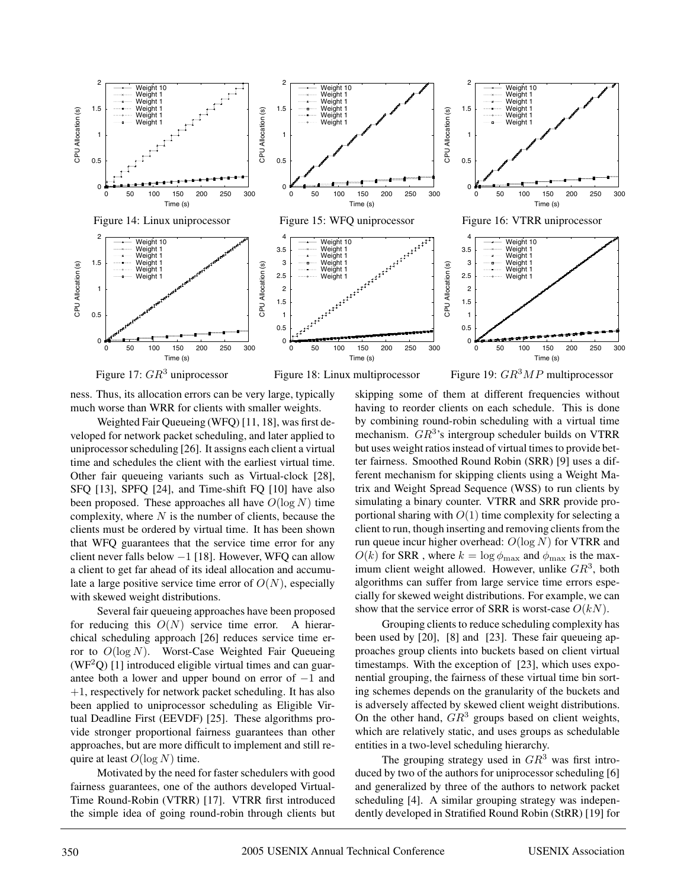

ness. Thus, its allocation errors can be very large, typically much worse than WRR for clients with smaller weights.

Weighted Fair Queueing (WFQ) [11, 18], was first developed for network packet scheduling, and later applied to uniprocessor scheduling [26]. It assigns each client a virtual time and schedules the client with the earliest virtual time. Other fair queueing variants such as Virtual-clock [28], SFQ [13], SPFQ [24], and Time-shift FQ [10] have also been proposed. These approaches all have  $O(\log N)$  time complexity, where  $N$  is the number of clients, because the clients must be ordered by virtual time. It has been shown that WFQ guarantees that the service time error for any client never falls below −1 [18]. However, WFQ can allow a client to get far ahead of its ideal allocation and accumulate a large positive service time error of  $O(N)$ , especially with skewed weight distributions.

Several fair queueing approaches have been proposed for reducing this  $O(N)$  service time error. A hierarchical scheduling approach [26] reduces service time error to  $O(\log N)$ . Worst-Case Weighted Fair Queueing  $(WF<sup>2</sup>Q)$  [1] introduced eligible virtual times and can guarantee both a lower and upper bound on error of −1 and  $+1$ , respectively for network packet scheduling. It has also been applied to uniprocessor scheduling as Eligible Virtual Deadline First (EEVDF) [25]. These algorithms provide stronger proportional fairness guarantees than other approaches, but are more difficult to implement and still require at least  $O(\log N)$  time.

Motivated by the need for faster schedulers with good fairness guarantees, one of the authors developed Virtual-Time Round-Robin (VTRR) [17]. VTRR first introduced the simple idea of going round-robin through clients but

skipping some of them at different frequencies without having to reorder clients on each schedule. This is done by combining round-robin scheduling with a virtual time mechanism.  $GR<sup>3</sup>$ 's intergroup scheduler builds on VTRR but uses weight ratios instead of virtual times to provide better fairness. Smoothed Round Robin (SRR) [9] uses a different mechanism for skipping clients using a Weight Matrix and Weight Spread Sequence (WSS) to run clients by simulating a binary counter. VTRR and SRR provide proportional sharing with  $O(1)$  time complexity for selecting a client to run, though inserting and removing clients from the run queue incur higher overhead:  $O(\log N)$  for VTRR and  $O(k)$  for SRR, where  $k = \log \phi_{\text{max}}$  and  $\phi_{\text{max}}$  is the maximum client weight allowed. However, unlike  $GR<sup>3</sup>$ , both algorithms can suffer from large service time errors especially for skewed weight distributions. For example, we can show that the service error of SRR is worst-case  $O(kN)$ .

Grouping clients to reduce scheduling complexity has been used by [20], [8] and [23]. These fair queueing approaches group clients into buckets based on client virtual timestamps. With the exception of [23], which uses exponential grouping, the fairness of these virtual time bin sorting schemes depends on the granularity of the buckets and is adversely affected by skewed client weight distributions. On the other hand,  $GR<sup>3</sup>$  groups based on client weights, which are relatively static, and uses groups as schedulable entities in a two-level scheduling hierarchy.

The grouping strategy used in  $GR<sup>3</sup>$  was first introduced by two of the authors for uniprocessor scheduling [6] and generalized by three of the authors to network packet scheduling [4]. A similar grouping strategy was independently developed in Stratified Round Robin (StRR) [19] for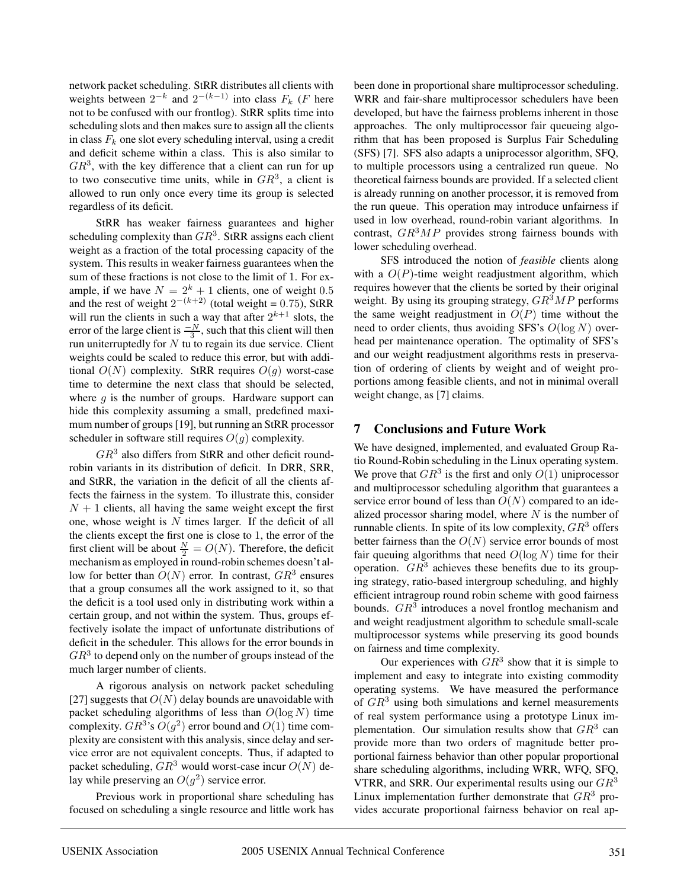network packet scheduling. StRR distributes all clients with weights between  $2^{-k}$  and  $2^{-(k-1)}$  into class  $F_k$  (F here not to be confused with our frontlog). StRR splits time into scheduling slots and then makes sure to assign all the clients in class  $F_k$  one slot every scheduling interval, using a credit and deficit scheme within a class. This is also similar to  $GR<sup>3</sup>$ , with the key difference that a client can run for up to two consecutive time units, while in  $GR<sup>3</sup>$ , a client is allowed to run only once every time its group is selected regardless of its deficit.

StRR has weaker fairness guarantees and higher scheduling complexity than  $GR<sup>3</sup>$ . StRR assigns each client weight as a fraction of the total processing capacity of the system. This results in weaker fairness guarantees when the sum of these fractions is not close to the limit of 1. For example, if we have  $N = 2<sup>k</sup> + 1$  clients, one of weight 0.5 and the rest of weight  $2^{-(k+2)}$  (total weight = 0.75), StRR will run the clients in such a way that after  $2^{k+1}$  slots, the error of the large client is  $\frac{-N}{3}$ , such that this client will then run uniterruptedly for  $N$  tu to regain its due service. Client weights could be scaled to reduce this error, but with additional  $O(N)$  complexity. StRR requires  $O(g)$  worst-case time to determine the next class that should be selected, where  $g$  is the number of groups. Hardware support can hide this complexity assuming a small, predefined maximum number of groups [19], but running an StRR processor scheduler in software still requires  $O(g)$  complexity.

 $GR<sup>3</sup>$  also differs from StRR and other deficit roundrobin variants in its distribution of deficit. In DRR, SRR, and StRR, the variation in the deficit of all the clients affects the fairness in the system. To illustrate this, consider  $N + 1$  clients, all having the same weight except the first one, whose weight is  $N$  times larger. If the deficit of all the clients except the first one is close to 1, the error of the first client will be about  $\frac{N}{2} = O(N)$ . Therefore, the deficit mechanism as employed in round-robin schemes doesn't allow for better than  $O(N)$  error. In contrast,  $GR^3$  ensures that a group consumes all the work assigned to it, so that the deficit is a tool used only in distributing work within a certain group, and not within the system. Thus, groups effectively isolate the impact of unfortunate distributions of deficit in the scheduler. This allows for the error bounds in  $GR<sup>3</sup>$  to depend only on the number of groups instead of the much larger number of clients.

A rigorous analysis on network packet scheduling [27] suggests that  $O(N)$  delay bounds are unavoidable with packet scheduling algorithms of less than  $O(\log N)$  time complexity.  $GR^{3}$ 's  $O(q^{2})$  error bound and  $O(1)$  time complexity are consistent with this analysis, since delay and service error are not equivalent concepts. Thus, if adapted to packet scheduling,  $GR^3$  would worst-case incur  $O(N)$  delay while preserving an  $O(q^2)$  service error.

Previous work in proportional share scheduling has focused on scheduling a single resource and little work has

been done in proportional share multiprocessor scheduling. WRR and fair-share multiprocessor schedulers have been developed, but have the fairness problems inherent in those approaches. The only multiprocessor fair queueing algorithm that has been proposed is Surplus Fair Scheduling (SFS) [7]. SFS also adapts a uniprocessor algorithm, SFQ, to multiple processors using a centralized run queue. No theoretical fairness bounds are provided. If a selected client is already running on another processor, it is removed from the run queue. This operation may introduce unfairness if used in low overhead, round-robin variant algorithms. In contrast,  $GR^3MP$  provides strong fairness bounds with lower scheduling overhead.

SFS introduced the notion of *feasible* clients along with a  $O(P)$ -time weight readjustment algorithm, which requires however that the clients be sorted by their original weight. By using its grouping strategy,  $GR^{3}MP$  performs the same weight readjustment in  $O(P)$  time without the need to order clients, thus avoiding SFS's  $O(\log N)$  overhead per maintenance operation. The optimality of SFS's and our weight readjustment algorithms rests in preservation of ordering of clients by weight and of weight proportions among feasible clients, and not in minimal overall weight change, as [7] claims.

## **7 Conclusions and Future Work**

We have designed, implemented, and evaluated Group Ratio Round-Robin scheduling in the Linux operating system. We prove that  $GR^3$  is the first and only  $O(1)$  uniprocessor and multiprocessor scheduling algorithm that guarantees a service error bound of less than  $O(N)$  compared to an idealized processor sharing model, where  $N$  is the number of runnable clients. In spite of its low complexity,  $GR^3$  offers better fairness than the  $O(N)$  service error bounds of most fair queuing algorithms that need  $O(\log N)$  time for their operation.  $GR^3$  achieves these benefits due to its grouping strategy, ratio-based intergroup scheduling, and highly efficient intragroup round robin scheme with good fairness bounds.  $GR^3$  introduces a novel frontlog mechanism and and weight readjustment algorithm to schedule small-scale multiprocessor systems while preserving its good bounds on fairness and time complexity.

Our experiences with  $GR^3$  show that it is simple to implement and easy to integrate into existing commodity operating systems. We have measured the performance of  $GR<sup>3</sup>$  using both simulations and kernel measurements of real system performance using a prototype Linux implementation. Our simulation results show that  $GR^3$  can provide more than two orders of magnitude better proportional fairness behavior than other popular proportional share scheduling algorithms, including WRR, WFQ, SFQ, VTRR, and SRR. Our experimental results using our  $GR<sup>3</sup>$ Linux implementation further demonstrate that  $GR^3$  provides accurate proportional fairness behavior on real ap